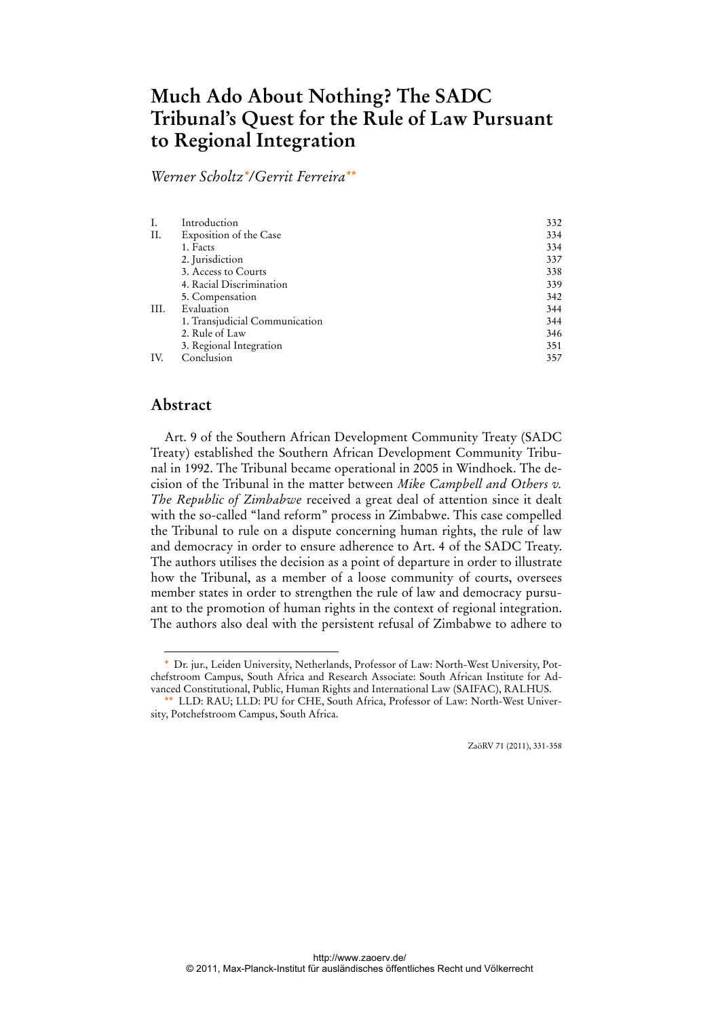# **Much Ado About Nothing? The SADC Tribunal's Quest for the Rule of Law Pursuant to Regional Integration**

*Werner Scholtz\*/Gerrit Ferreira\*\**

|      | Introduction                   | 332 |
|------|--------------------------------|-----|
| II.  | Exposition of the Case         | 334 |
|      | 1. Facts                       | 334 |
|      | 2. Jurisdiction                | 337 |
|      | 3. Access to Courts            | 338 |
|      | 4. Racial Discrimination       | 339 |
|      | 5. Compensation                | 342 |
| III. | Evaluation                     | 344 |
|      | 1. Transjudicial Communication | 344 |
|      | 2. Rule of Law                 | 346 |
|      | 3. Regional Integration        | 351 |
| IV.  | Conclusion                     | 357 |

# **Abstract**

 $\overline{a}$ 

Art. 9 of the Southern African Development Community Treaty (SADC Treaty) established the Southern African Development Community Tribunal in 1992. The Tribunal became operational in 2005 in Windhoek. The decision of the Tribunal in the matter between *Mike Campbell and Others v. The Republic of Zimbabwe* received a great deal of attention since it dealt with the so-called "land reform" process in Zimbabwe. This case compelled the Tribunal to rule on a dispute concerning human rights, the rule of law and democracy in order to ensure adherence to Art. 4 of the SADC Treaty. The authors utilises the decision as a point of departure in order to illustrate how the Tribunal, as a member of a loose community of courts, oversees member states in order to strengthen the rule of law and democracy pursuant to the promotion of human rights in the context of regional integration. The authors also deal with the persistent refusal of Zimbabwe to adhere to

ZaöRV 71 (2011), 331-358

<sup>\*</sup> Dr. jur., Leiden University, Netherlands, Professor of Law: North-West University, Potchefstroom Campus, South Africa and Research Associate: South African Institute for Advanced Constitutional, Public, Human Rights and International Law (SAIFAC), RALHUS.

<sup>\*\*</sup> LLD: RAU; LLD: PU for CHE, South Africa, Professor of Law: North-West University, Potchefstroom Campus, South Africa.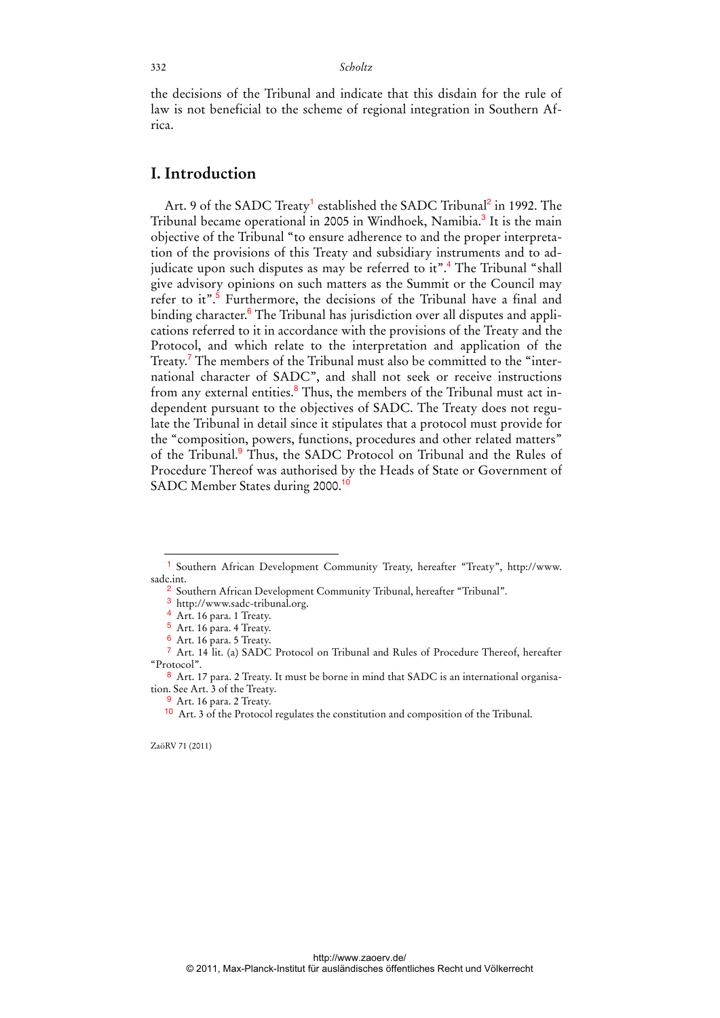the decisions of the Tribunal and indicate that this disdain for the rule of law is not beneficial to the scheme of regional integration in Southern Africa.

## **I. Introduction**

Art. 9 of the SADC Treaty<sup>1</sup> established the SADC Tribunal<sup>2</sup> in 1992. The Tribunal became operational in 2005 in Windhoek, Namibia.<sup>3</sup> It is the main objective of the Tribunal "to ensure adherence to and the proper interpretation of the provisions of this Treaty and subsidiary instruments and to adjudicate upon such disputes as may be referred to it".<sup>4</sup> The Tribunal "shall give advisory opinions on such matters as the Summit or the Council may refer to it".<sup>5</sup> Furthermore, the decisions of the Tribunal have a final and binding character.<sup>6</sup> The Tribunal has jurisdiction over all disputes and applications referred to it in accordance with the provisions of the Treaty and the Protocol, and which relate to the interpretation and application of the Treaty.<sup>7</sup> The members of the Tribunal must also be committed to the "international character of SADC", and shall not seek or receive instructions from any external entities.<sup>8</sup> Thus, the members of the Tribunal must act independent pursuant to the objectives of SADC. The Treaty does not regulate the Tribunal in detail since it stipulates that a protocol must provide for the "composition, powers, functions, procedures and other related matters" of the Tribunal.<sup>9</sup> Thus, the SADC Protocol on Tribunal and the Rules of Procedure Thereof was authorised by the Heads of State or Government of SADC Member States during 2000.<sup>10</sup>

ZaöRV 71 (2011)

<sup>1</sup> Southern African Development Community Treaty, hereafter "Treaty", http://www. sadc.int.

<sup>2</sup> Southern African Development Community Tribunal, hereafter "Tribunal".

<sup>3</sup> http://www.sadc-tribunal.org.

<sup>4</sup> Art. 16 para. 1 Treaty.

<sup>5</sup> Art. 16 para. 4 Treaty.

<sup>6</sup> Art. 16 para. 5 Treaty.

<sup>7</sup> Art. 14 lit. (a) SADC Protocol on Tribunal and Rules of Procedure Thereof, hereafter "Protocol".

<sup>8</sup> Art. 17 para. 2 Treaty. It must be borne in mind that SADC is an international organisation. See Art. 3 of the Treaty.

<sup>&</sup>lt;sup>9</sup> Art. 16 para. 2 Treaty.

<sup>10</sup> Art. 3 of the Protocol regulates the constitution and composition of the Tribunal.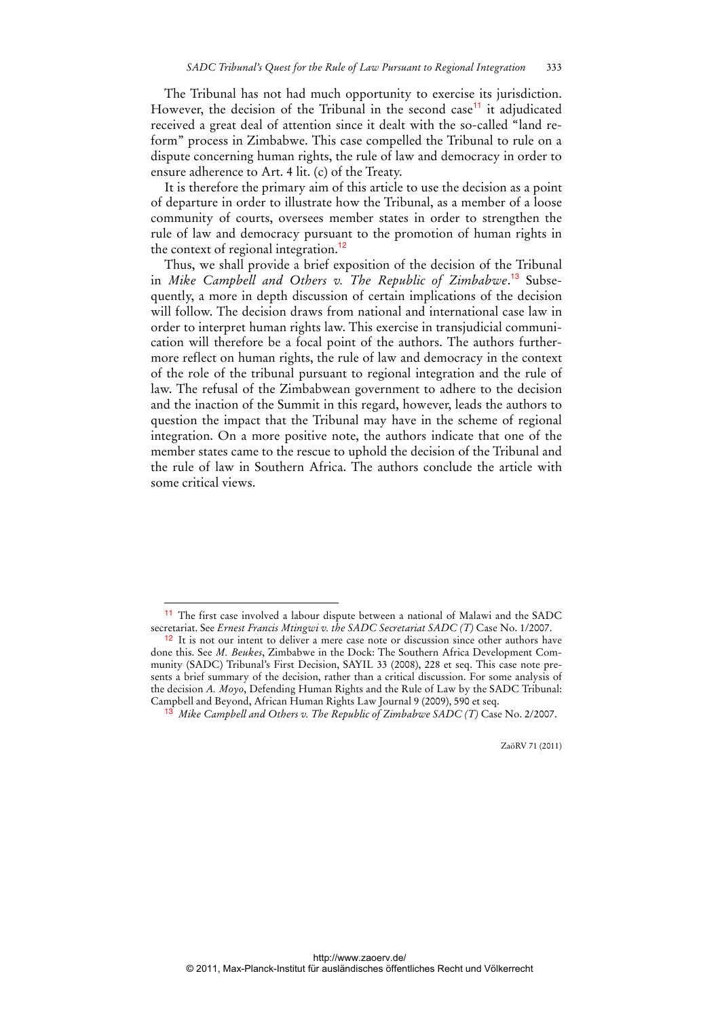The Tribunal has not had much opportunity to exercise its jurisdiction. However, the decision of the Tribunal in the second case<sup>11</sup> it adjudicated received a great deal of attention since it dealt with the so-called "land reform" process in Zimbabwe. This case compelled the Tribunal to rule on a dispute concerning human rights, the rule of law and democracy in order to ensure adherence to Art. 4 lit. (c) of the Treaty.

It is therefore the primary aim of this article to use the decision as a point of departure in order to illustrate how the Tribunal, as a member of a loose community of courts, oversees member states in order to strengthen the rule of law and democracy pursuant to the promotion of human rights in the context of regional integration.<sup>12</sup>

Thus, we shall provide a brief exposition of the decision of the Tribunal in *Mike Campbell and Others v. The Republic of Zimbabwe*. 13 Subsequently, a more in depth discussion of certain implications of the decision will follow. The decision draws from national and international case law in order to interpret human rights law. This exercise in transjudicial communication will therefore be a focal point of the authors. The authors furthermore reflect on human rights, the rule of law and democracy in the context of the role of the tribunal pursuant to regional integration and the rule of law. The refusal of the Zimbabwean government to adhere to the decision and the inaction of the Summit in this regard, however, leads the authors to question the impact that the Tribunal may have in the scheme of regional integration. On a more positive note, the authors indicate that one of the member states came to the rescue to uphold the decision of the Tribunal and the rule of law in Southern Africa. The authors conclude the article with some critical views.

 $\ddot{ }$ 

<sup>11</sup> The first case involved a labour dispute between a national of Malawi and the SADC secretariat. See *Ernest Francis Mtingwi v. the SADC Secretariat SADC (T)* Case No. 1/2007.

<sup>&</sup>lt;sup>12</sup> It is not our intent to deliver a mere case note or discussion since other authors have done this. See *M. Beukes*, Zimbabwe in the Dock: The Southern Africa Development Community (SADC) Tribunal's First Decision, SAYIL 33 (2008), 228 et seq. This case note presents a brief summary of the decision, rather than a critical discussion. For some analysis of the decision *A. Moyo*, Defending Human Rights and the Rule of Law by the SADC Tribunal: Campbell and Beyond, African Human Rights Law Journal 9 (2009), 590 et seq.

<sup>13</sup> *Mike Campbell and Others v. The Republic of Zimbabwe SADC (T)* Case No. 2/2007.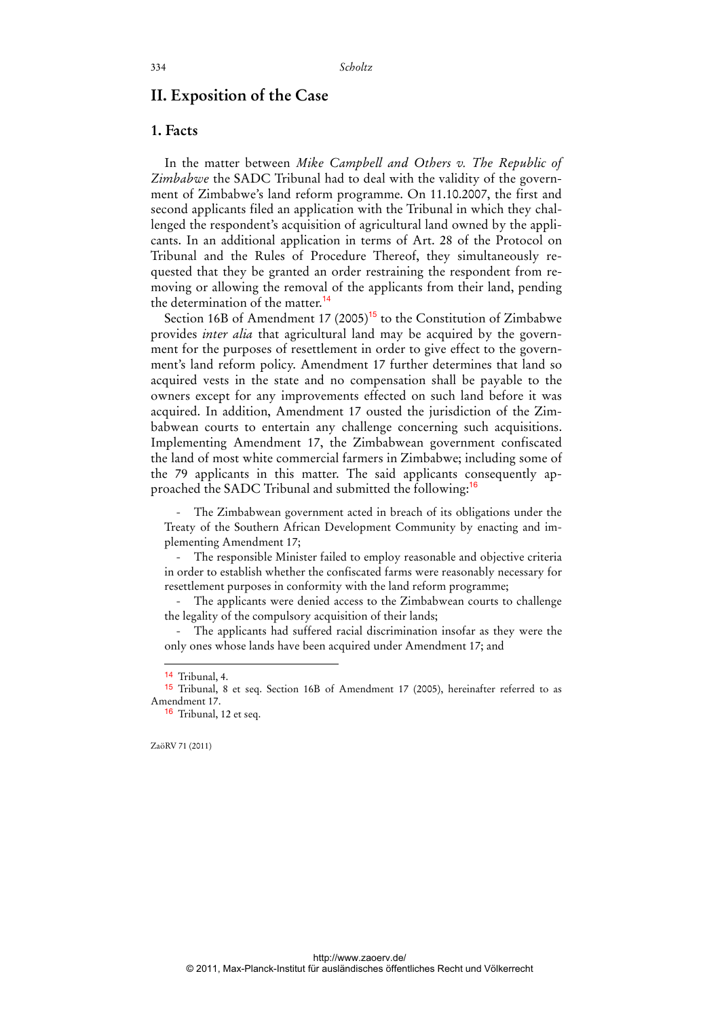## **II. Exposition of the Case**

## **1. Facts**

In the matter between *Mike Campbell and Others v. The Republic of Zimbabwe* the SADC Tribunal had to deal with the validity of the government of Zimbabwe's land reform programme. On 11.10.2007, the first and second applicants filed an application with the Tribunal in which they challenged the respondent's acquisition of agricultural land owned by the applicants. In an additional application in terms of Art. 28 of the Protocol on Tribunal and the Rules of Procedure Thereof, they simultaneously requested that they be granted an order restraining the respondent from removing or allowing the removal of the applicants from their land, pending the determination of the matter.<sup>14</sup>

Section 16B of Amendment 17  $(2005)^{15}$  to the Constitution of Zimbabwe provides *inter alia* that agricultural land may be acquired by the government for the purposes of resettlement in order to give effect to the government's land reform policy. Amendment 17 further determines that land so acquired vests in the state and no compensation shall be payable to the owners except for any improvements effected on such land before it was acquired. In addition, Amendment 17 ousted the jurisdiction of the Zimbabwean courts to entertain any challenge concerning such acquisitions. Implementing Amendment 17, the Zimbabwean government confiscated the land of most white commercial farmers in Zimbabwe; including some of the 79 applicants in this matter. The said applicants consequently approached the SADC Tribunal and submitted the following:<sup>16</sup>

- The Zimbabwean government acted in breach of its obligations under the Treaty of the Southern African Development Community by enacting and implementing Amendment 17;

- The responsible Minister failed to employ reasonable and objective criteria in order to establish whether the confiscated farms were reasonably necessary for resettlement purposes in conformity with the land reform programme;

- The applicants were denied access to the Zimbabwean courts to challenge the legality of the compulsory acquisition of their lands;

The applicants had suffered racial discrimination insofar as they were the only ones whose lands have been acquired under Amendment 17; and

 $\overline{a}$ 

<sup>14</sup> Tribunal, 4.

<sup>15</sup> Tribunal, 8 et seq. Section 16B of Amendment 17 (2005), hereinafter referred to as Amendment 17.

<sup>&</sup>lt;sup>16</sup> Tribunal, 12 et seq.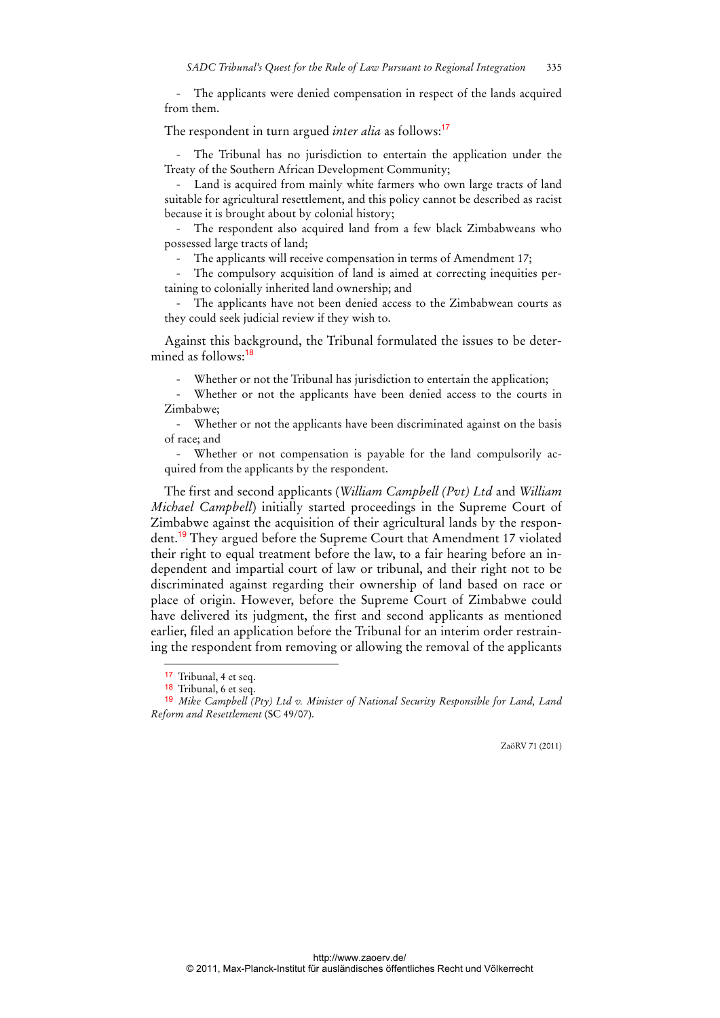The applicants were denied compensation in respect of the lands acquired from them.

#### The respondent in turn argued *inter alia* as follows:<sup>17</sup>

- The Tribunal has no jurisdiction to entertain the application under the Treaty of the Southern African Development Community;

- Land is acquired from mainly white farmers who own large tracts of land suitable for agricultural resettlement, and this policy cannot be described as racist because it is brought about by colonial history;

- The respondent also acquired land from a few black Zimbabweans who possessed large tracts of land;

The applicants will receive compensation in terms of Amendment 17;

The compulsory acquisition of land is aimed at correcting inequities pertaining to colonially inherited land ownership; and

- The applicants have not been denied access to the Zimbabwean courts as they could seek judicial review if they wish to.

Against this background, the Tribunal formulated the issues to be determined as follows:<sup>18</sup>

Whether or not the Tribunal has jurisdiction to entertain the application;

Whether or not the applicants have been denied access to the courts in Zimbabwe;

- Whether or not the applicants have been discriminated against on the basis of race; and

- Whether or not compensation is payable for the land compulsorily acquired from the applicants by the respondent.

The first and second applicants (*William Campbell (Pvt) Ltd* and *William Michael Campbell*) initially started proceedings in the Supreme Court of Zimbabwe against the acquisition of their agricultural lands by the respondent.<sup>19</sup> They argued before the Supreme Court that Amendment 17 violated their right to equal treatment before the law, to a fair hearing before an independent and impartial court of law or tribunal, and their right not to be discriminated against regarding their ownership of land based on race or place of origin. However, before the Supreme Court of Zimbabwe could have delivered its judgment, the first and second applicants as mentioned earlier, filed an application before the Tribunal for an interim order restraining the respondent from removing or allowing the removal of the applicants

 $\overline{a}$ 

<sup>17</sup> Tribunal, 4 et seq.

<sup>18</sup> Tribunal, 6 et seq.

<sup>19</sup> *Mike Campbell (Pty) Ltd v. Minister of National Security Responsible for Land, Land Reform and Resettlement* (SC 49/07).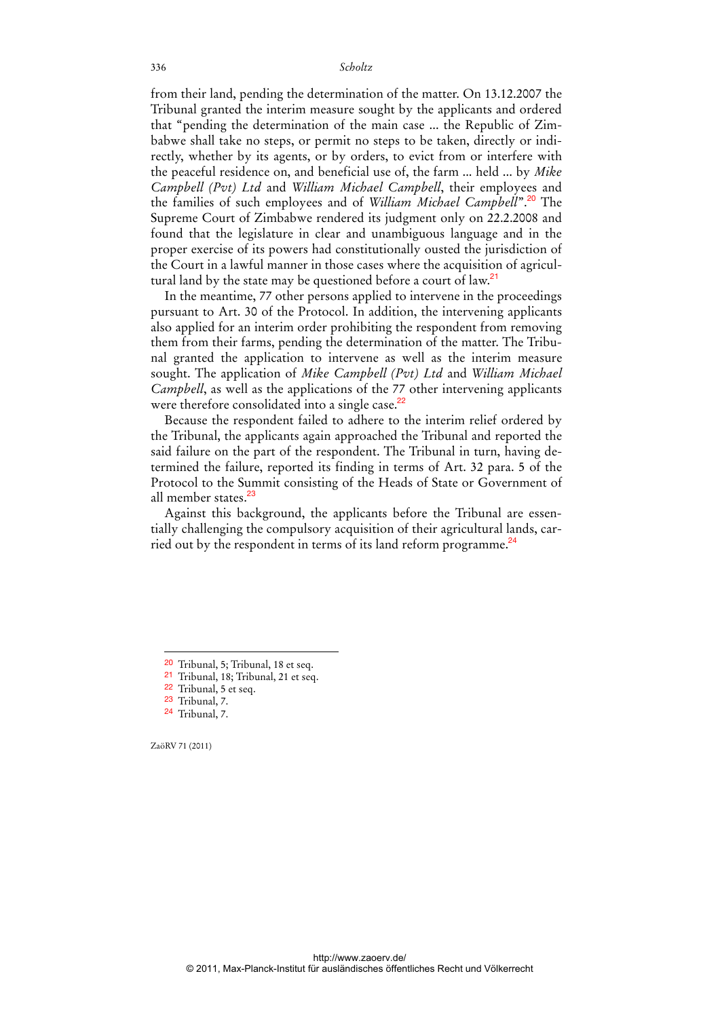from their land, pending the determination of the matter. On 13.12.2007 the Tribunal granted the interim measure sought by the applicants and ordered that "pending the determination of the main case ... the Republic of Zimbabwe shall take no steps, or permit no steps to be taken, directly or indirectly, whether by its agents, or by orders, to evict from or interfere with the peaceful residence on, and beneficial use of, the farm ... held ... by *Mike Campbell (Pvt) Ltd* and *William Michael Campbell*, their employees and the families of such employees and of *William Michael Campbell*".<sup>20</sup> The Supreme Court of Zimbabwe rendered its judgment only on 22.2.2008 and found that the legislature in clear and unambiguous language and in the proper exercise of its powers had constitutionally ousted the jurisdiction of the Court in a lawful manner in those cases where the acquisition of agricultural land by the state may be questioned before a court of law.<sup>21</sup>

In the meantime, 77 other persons applied to intervene in the proceedings pursuant to Art. 30 of the Protocol. In addition, the intervening applicants also applied for an interim order prohibiting the respondent from removing them from their farms, pending the determination of the matter. The Tribunal granted the application to intervene as well as the interim measure sought. The application of *Mike Campbell (Pvt) Ltd* and *William Michael Campbell*, as well as the applications of the 77 other intervening applicants were therefore consolidated into a single case.<sup>22</sup>

Because the respondent failed to adhere to the interim relief ordered by the Tribunal, the applicants again approached the Tribunal and reported the said failure on the part of the respondent. The Tribunal in turn, having determined the failure, reported its finding in terms of Art. 32 para. 5 of the Protocol to the Summit consisting of the Heads of State or Government of all member states.<sup>23</sup>

Against this background, the applicants before the Tribunal are essentially challenging the compulsory acquisition of their agricultural lands, carried out by the respondent in terms of its land reform programme.<sup>24</sup>

ZaöRV 71 (2011)

<sup>20</sup> Tribunal, 5; Tribunal, 18 et seq.

<sup>21</sup> Tribunal, 18; Tribunal, 21 et seq.

<sup>22</sup> Tribunal, 5 et seq.

<sup>23</sup> Tribunal, 7.

<sup>24</sup> Tribunal, 7.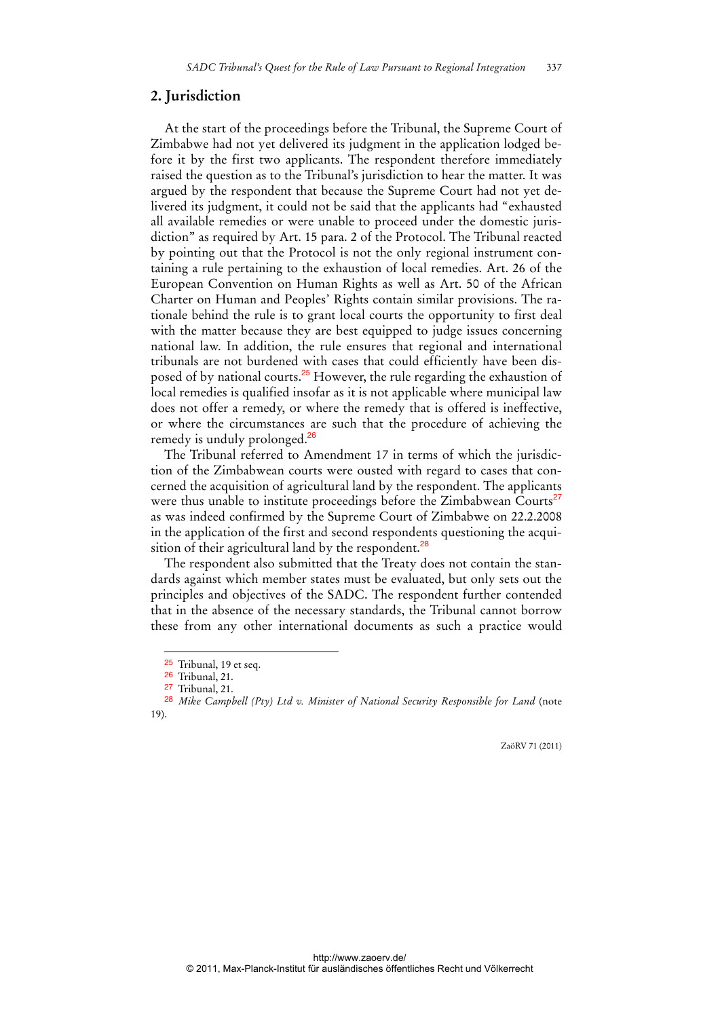#### **2. Jurisdiction**

At the start of the proceedings before the Tribunal, the Supreme Court of Zimbabwe had not yet delivered its judgment in the application lodged before it by the first two applicants. The respondent therefore immediately raised the question as to the Tribunal's jurisdiction to hear the matter. It was argued by the respondent that because the Supreme Court had not yet delivered its judgment, it could not be said that the applicants had "exhausted all available remedies or were unable to proceed under the domestic jurisdiction" as required by Art. 15 para. 2 of the Protocol. The Tribunal reacted by pointing out that the Protocol is not the only regional instrument containing a rule pertaining to the exhaustion of local remedies. Art. 26 of the European Convention on Human Rights as well as Art. 50 of the African Charter on Human and Peoples' Rights contain similar provisions. The rationale behind the rule is to grant local courts the opportunity to first deal with the matter because they are best equipped to judge issues concerning national law. In addition, the rule ensures that regional and international tribunals are not burdened with cases that could efficiently have been disposed of by national courts.<sup>25</sup> However, the rule regarding the exhaustion of local remedies is qualified insofar as it is not applicable where municipal law does not offer a remedy, or where the remedy that is offered is ineffective, or where the circumstances are such that the procedure of achieving the remedy is unduly prolonged.<sup>26</sup>

The Tribunal referred to Amendment 17 in terms of which the jurisdiction of the Zimbabwean courts were ousted with regard to cases that concerned the acquisition of agricultural land by the respondent. The applicants were thus unable to institute proceedings before the Zimbabwean Courts<sup>27</sup> as was indeed confirmed by the Supreme Court of Zimbabwe on 22.2.2008 in the application of the first and second respondents questioning the acquisition of their agricultural land by the respondent.<sup>28</sup>

The respondent also submitted that the Treaty does not contain the standards against which member states must be evaluated, but only sets out the principles and objectives of the SADC. The respondent further contended that in the absence of the necessary standards, the Tribunal cannot borrow these from any other international documents as such a practice would

 $\overline{a}$ 

<sup>25</sup> Tribunal, 19 et seq.

<sup>26</sup> Tribunal, 21.

<sup>27</sup> Tribunal, 21.

<sup>28</sup> *Mike Campbell (Pty) Ltd v. Minister of National Security Responsible for Land* (note 19).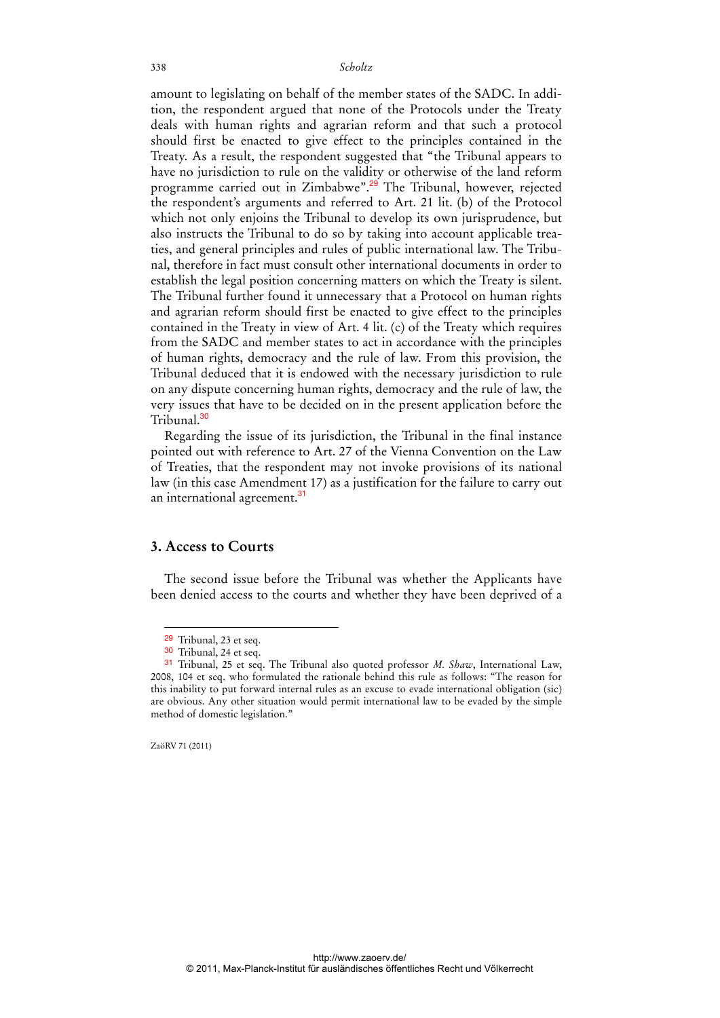amount to legislating on behalf of the member states of the SADC. In addition, the respondent argued that none of the Protocols under the Treaty deals with human rights and agrarian reform and that such a protocol should first be enacted to give effect to the principles contained in the Treaty. As a result, the respondent suggested that "the Tribunal appears to have no jurisdiction to rule on the validity or otherwise of the land reform programme carried out in Zimbabwe".<sup>29</sup> The Tribunal, however, rejected the respondent's arguments and referred to Art. 21 lit. (b) of the Protocol which not only enjoins the Tribunal to develop its own jurisprudence, but also instructs the Tribunal to do so by taking into account applicable treaties, and general principles and rules of public international law. The Tribunal, therefore in fact must consult other international documents in order to establish the legal position concerning matters on which the Treaty is silent. The Tribunal further found it unnecessary that a Protocol on human rights and agrarian reform should first be enacted to give effect to the principles contained in the Treaty in view of Art. 4 lit. (c) of the Treaty which requires from the SADC and member states to act in accordance with the principles of human rights, democracy and the rule of law. From this provision, the Tribunal deduced that it is endowed with the necessary jurisdiction to rule on any dispute concerning human rights, democracy and the rule of law, the very issues that have to be decided on in the present application before the Tribunal<sup>30</sup>

Regarding the issue of its jurisdiction, the Tribunal in the final instance pointed out with reference to Art. 27 of the Vienna Convention on the Law of Treaties, that the respondent may not invoke provisions of its national law (in this case Amendment 17) as a justification for the failure to carry out an international agreement.<sup>31</sup>

### **3. Access to Courts**

The second issue before the Tribunal was whether the Applicants have been denied access to the courts and whether they have been deprived of a

ZaöRV 71 (2011)

 $\ddot{ }$ 

<sup>29</sup> Tribunal, 23 et seq.

<sup>30</sup> Tribunal, 24 et seq.

<sup>31</sup> Tribunal, 25 et seq. The Tribunal also quoted professor *M. Shaw*, International Law, 2008, 104 et seq. who formulated the rationale behind this rule as follows: "The reason for this inability to put forward internal rules as an excuse to evade international obligation (sic) are obvious. Any other situation would permit international law to be evaded by the simple method of domestic legislation."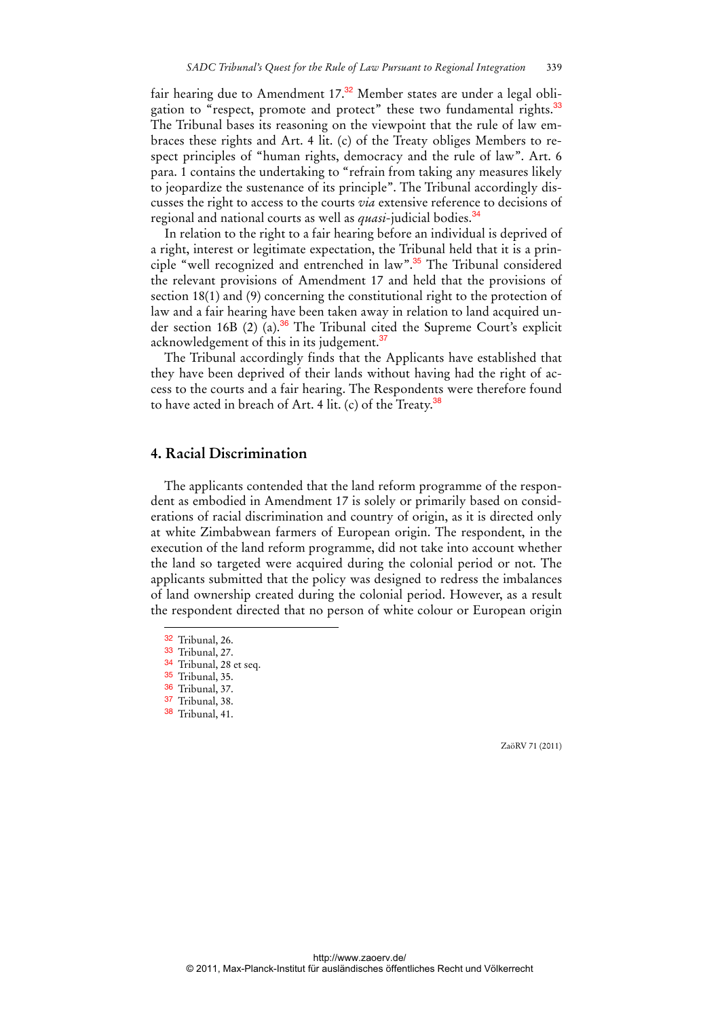fair hearing due to Amendment  $17<sup>32</sup>$  Member states are under a legal obligation to "respect, promote and protect" these two fundamental rights.<sup>33</sup> The Tribunal bases its reasoning on the viewpoint that the rule of law embraces these rights and Art. 4 lit. (c) of the Treaty obliges Members to respect principles of "human rights, democracy and the rule of law". Art. 6 para. 1 contains the undertaking to "refrain from taking any measures likely to jeopardize the sustenance of its principle". The Tribunal accordingly discusses the right to access to the courts *via* extensive reference to decisions of regional and national courts as well as *quasi*-judicial bodies.<sup>34</sup>

In relation to the right to a fair hearing before an individual is deprived of a right, interest or legitimate expectation, the Tribunal held that it is a principle "well recognized and entrenched in law".<sup>35</sup> The Tribunal considered the relevant provisions of Amendment 17 and held that the provisions of section 18(1) and (9) concerning the constitutional right to the protection of law and a fair hearing have been taken away in relation to land acquired under section 16B (2) (a).<sup>36</sup> The Tribunal cited the Supreme Court's explicit acknowledgement of this in its judgement.<sup>37</sup>

The Tribunal accordingly finds that the Applicants have established that they have been deprived of their lands without having had the right of access to the courts and a fair hearing. The Respondents were therefore found to have acted in breach of Art. 4 lit. (c) of the Treaty. $^{38}$ 

#### **4. Racial Discrimination**

The applicants contended that the land reform programme of the respondent as embodied in Amendment 17 is solely or primarily based on considerations of racial discrimination and country of origin, as it is directed only at white Zimbabwean farmers of European origin. The respondent, in the execution of the land reform programme, did not take into account whether the land so targeted were acquired during the colonial period or not. The applicants submitted that the policy was designed to redress the imbalances of land ownership created during the colonial period. However, as a result the respondent directed that no person of white colour or European origin

 $\ddot{ }$ 

36 Tribunal, 37.

<sup>32</sup> Tribunal, 26.

<sup>33</sup> Tribunal, 27.

<sup>34</sup> Tribunal, 28 et seq.

<sup>35</sup> Tribunal, 35.

<sup>37</sup> Tribunal, 38. 38 Tribunal, 41.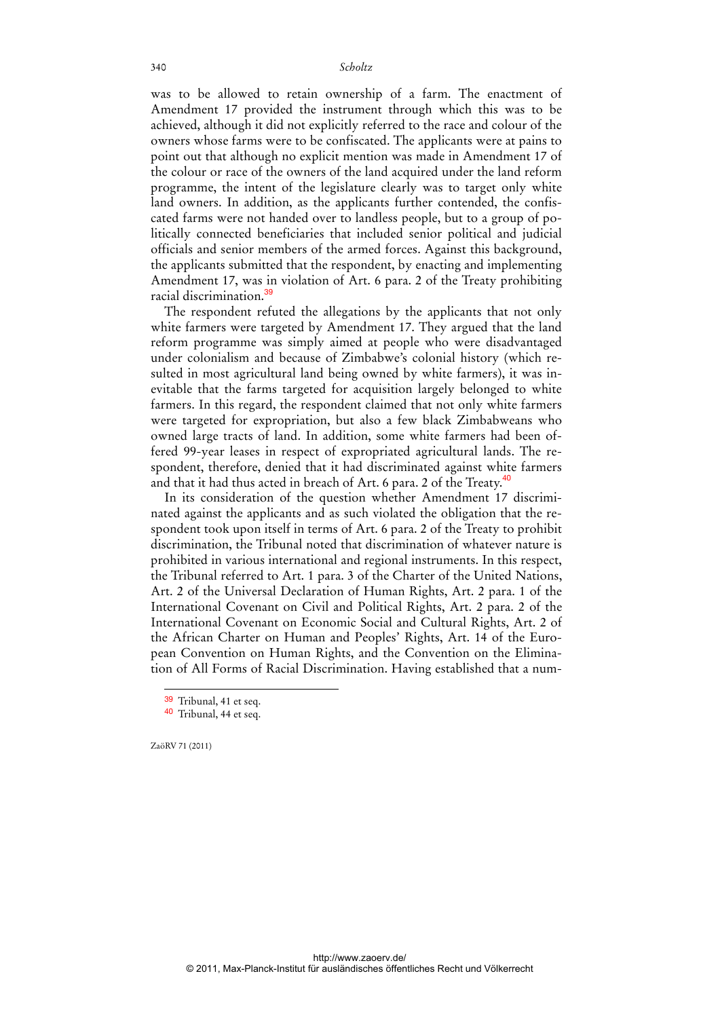was to be allowed to retain ownership of a farm. The enactment of Amendment 17 provided the instrument through which this was to be achieved, although it did not explicitly referred to the race and colour of the owners whose farms were to be confiscated. The applicants were at pains to point out that although no explicit mention was made in Amendment 17 of the colour or race of the owners of the land acquired under the land reform programme, the intent of the legislature clearly was to target only white land owners. In addition, as the applicants further contended, the confiscated farms were not handed over to landless people, but to a group of politically connected beneficiaries that included senior political and judicial officials and senior members of the armed forces. Against this background, the applicants submitted that the respondent, by enacting and implementing Amendment 17, was in violation of Art. 6 para. 2 of the Treaty prohibiting racial discrimination.<sup>39</sup>

The respondent refuted the allegations by the applicants that not only white farmers were targeted by Amendment 17. They argued that the land reform programme was simply aimed at people who were disadvantaged under colonialism and because of Zimbabwe's colonial history (which resulted in most agricultural land being owned by white farmers), it was inevitable that the farms targeted for acquisition largely belonged to white farmers. In this regard, the respondent claimed that not only white farmers were targeted for expropriation, but also a few black Zimbabweans who owned large tracts of land. In addition, some white farmers had been offered 99-year leases in respect of expropriated agricultural lands. The respondent, therefore, denied that it had discriminated against white farmers and that it had thus acted in breach of Art. 6 para. 2 of the Treaty.<sup>40</sup>

In its consideration of the question whether Amendment 17 discriminated against the applicants and as such violated the obligation that the respondent took upon itself in terms of Art. 6 para. 2 of the Treaty to prohibit discrimination, the Tribunal noted that discrimination of whatever nature is prohibited in various international and regional instruments. In this respect, the Tribunal referred to Art. 1 para. 3 of the Charter of the United Nations, Art. 2 of the Universal Declaration of Human Rights, Art. 2 para. 1 of the International Covenant on Civil and Political Rights, Art. 2 para. 2 of the International Covenant on Economic Social and Cultural Rights, Art. 2 of the African Charter on Human and Peoples' Rights, Art. 14 of the European Convention on Human Rights, and the Convention on the Elimination of All Forms of Racial Discrimination. Having established that a num-

ZaöRV 71 (2011)

<sup>39</sup> Tribunal, 41 et seq.

<sup>40</sup> Tribunal, 44 et seq.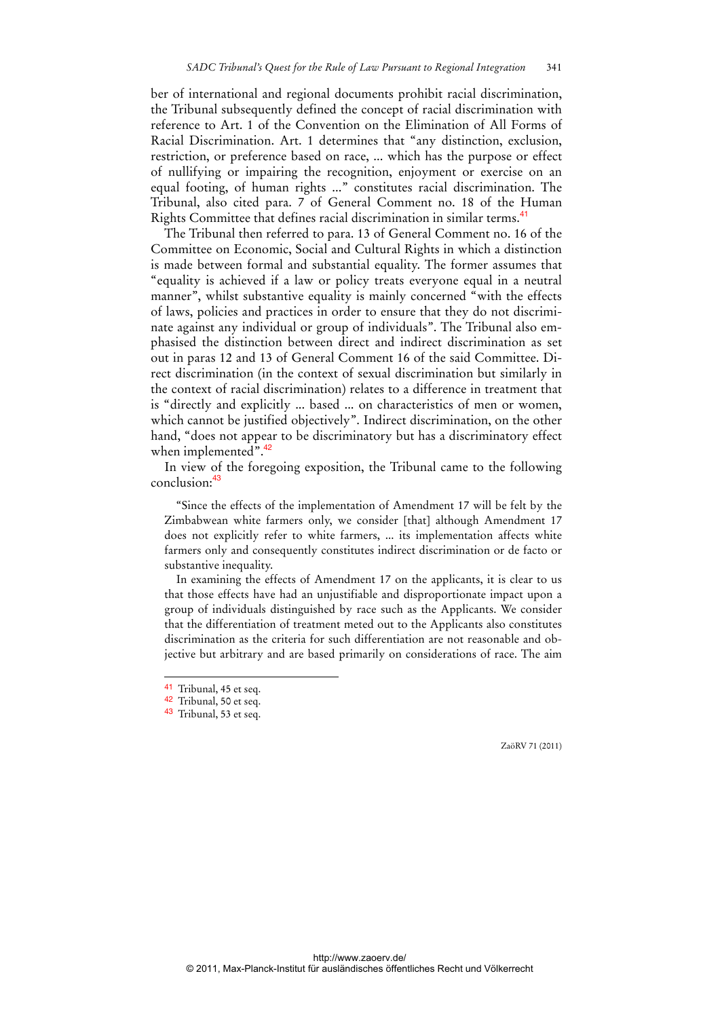ber of international and regional documents prohibit racial discrimination, the Tribunal subsequently defined the concept of racial discrimination with reference to Art. 1 of the Convention on the Elimination of All Forms of Racial Discrimination. Art. 1 determines that "any distinction, exclusion, restriction, or preference based on race, ... which has the purpose or effect of nullifying or impairing the recognition, enjoyment or exercise on an equal footing, of human rights ..." constitutes racial discrimination. The Tribunal, also cited para. 7 of General Comment no. 18 of the Human Rights Committee that defines racial discrimination in similar terms.<sup>41</sup>

The Tribunal then referred to para. 13 of General Comment no. 16 of the Committee on Economic, Social and Cultural Rights in which a distinction is made between formal and substantial equality. The former assumes that "equality is achieved if a law or policy treats everyone equal in a neutral manner", whilst substantive equality is mainly concerned "with the effects of laws, policies and practices in order to ensure that they do not discriminate against any individual or group of individuals". The Tribunal also emphasised the distinction between direct and indirect discrimination as set out in paras 12 and 13 of General Comment 16 of the said Committee. Direct discrimination (in the context of sexual discrimination but similarly in the context of racial discrimination) relates to a difference in treatment that is "directly and explicitly ... based ... on characteristics of men or women, which cannot be justified objectively". Indirect discrimination, on the other hand, "does not appear to be discriminatory but has a discriminatory effect when implemented".<sup>42</sup>

In view of the foregoing exposition, the Tribunal came to the following conclusion:<sup>43</sup>

"Since the effects of the implementation of Amendment 17 will be felt by the Zimbabwean white farmers only, we consider [that] although Amendment 17 does not explicitly refer to white farmers, ... its implementation affects white farmers only and consequently constitutes indirect discrimination or de facto or substantive inequality.

In examining the effects of Amendment 17 on the applicants, it is clear to us that those effects have had an unjustifiable and disproportionate impact upon a group of individuals distinguished by race such as the Applicants. We consider that the differentiation of treatment meted out to the Applicants also constitutes discrimination as the criteria for such differentiation are not reasonable and objective but arbitrary and are based primarily on considerations of race. The aim

 $\overline{a}$ 

<sup>41</sup> Tribunal, 45 et seq.

<sup>42</sup> Tribunal, 50 et seq.

<sup>43</sup> Tribunal, 53 et seq.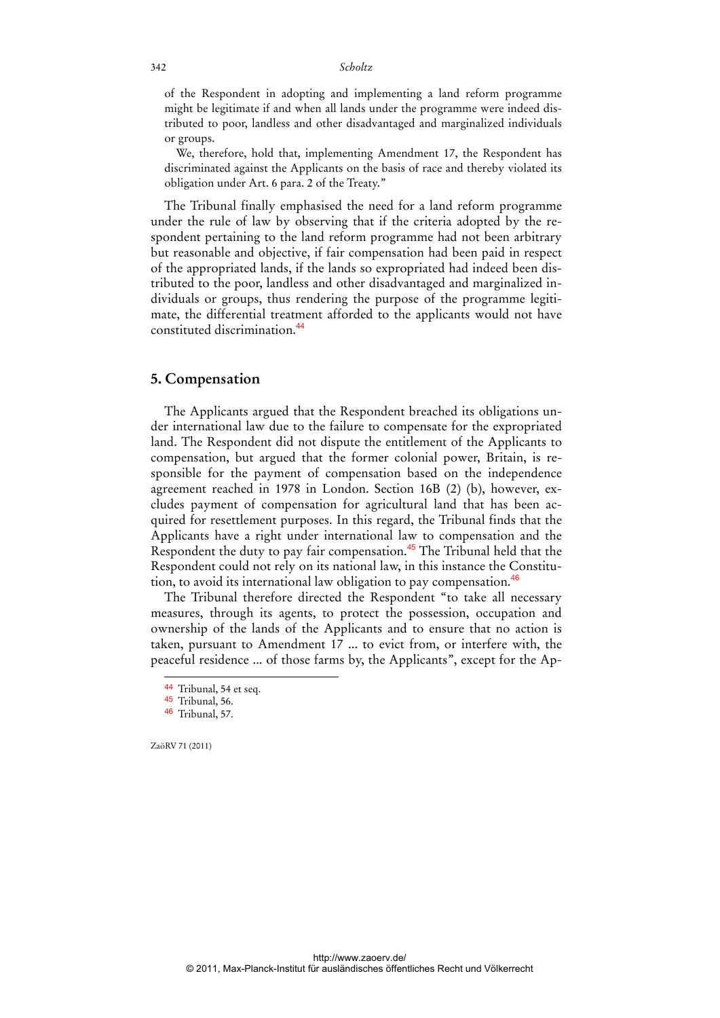of the Respondent in adopting and implementing a land reform programme might be legitimate if and when all lands under the programme were indeed distributed to poor, landless and other disadvantaged and marginalized individuals or groups.

We, therefore, hold that, implementing Amendment 17, the Respondent has discriminated against the Applicants on the basis of race and thereby violated its obligation under Art. 6 para. 2 of the Treaty."

The Tribunal finally emphasised the need for a land reform programme under the rule of law by observing that if the criteria adopted by the respondent pertaining to the land reform programme had not been arbitrary but reasonable and objective, if fair compensation had been paid in respect of the appropriated lands, if the lands so expropriated had indeed been distributed to the poor, landless and other disadvantaged and marginalized individuals or groups, thus rendering the purpose of the programme legitimate, the differential treatment afforded to the applicants would not have constituted discrimination.<sup>44</sup>

#### **5. Compensation**

The Applicants argued that the Respondent breached its obligations under international law due to the failure to compensate for the expropriated land. The Respondent did not dispute the entitlement of the Applicants to compensation, but argued that the former colonial power, Britain, is responsible for the payment of compensation based on the independence agreement reached in 1978 in London. Section 16B (2) (b), however, excludes payment of compensation for agricultural land that has been acquired for resettlement purposes. In this regard, the Tribunal finds that the Applicants have a right under international law to compensation and the Respondent the duty to pay fair compensation.<sup>45</sup> The Tribunal held that the Respondent could not rely on its national law, in this instance the Constitution, to avoid its international law obligation to pay compensation.<sup>46</sup>

The Tribunal therefore directed the Respondent "to take all necessary measures, through its agents, to protect the possession, occupation and ownership of the lands of the Applicants and to ensure that no action is taken, pursuant to Amendment 17 ... to evict from, or interfere with, the peaceful residence ... of those farms by, the Applicants", except for the Ap-

ZaöRV 71 (2011)

 $\overline{a}$ 

http://www.zaoerv.de/ © 2011, Max-Planck-Institut für ausländisches öffentliches Recht und Völkerrecht

<sup>44</sup> Tribunal, 54 et seq.

<sup>45</sup> Tribunal, 56.

<sup>46</sup> Tribunal, 57.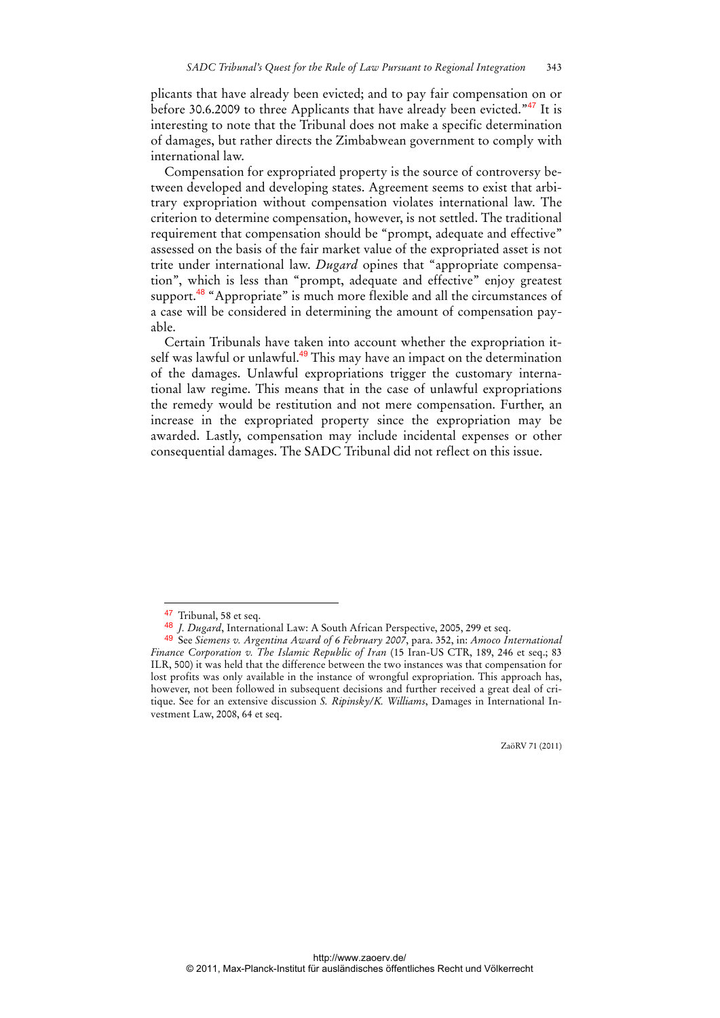plicants that have already been evicted; and to pay fair compensation on or before 30.6.2009 to three Applicants that have already been evicted."<sup>47</sup> It is interesting to note that the Tribunal does not make a specific determination of damages, but rather directs the Zimbabwean government to comply with international law.

Compensation for expropriated property is the source of controversy between developed and developing states. Agreement seems to exist that arbitrary expropriation without compensation violates international law. The criterion to determine compensation, however, is not settled. The traditional requirement that compensation should be "prompt, adequate and effective" assessed on the basis of the fair market value of the expropriated asset is not trite under international law. *Dugard* opines that "appropriate compensation", which is less than "prompt, adequate and effective" enjoy greatest support.<sup>48</sup> "Appropriate" is much more flexible and all the circumstances of a case will be considered in determining the amount of compensation payable.

Certain Tribunals have taken into account whether the expropriation itself was lawful or unlawful.<sup>49</sup> This may have an impact on the determination of the damages. Unlawful expropriations trigger the customary international law regime. This means that in the case of unlawful expropriations the remedy would be restitution and not mere compensation. Further, an increase in the expropriated property since the expropriation may be awarded. Lastly, compensation may include incidental expenses or other consequential damages. The SADC Tribunal did not reflect on this issue.

 $\overline{a}$ 

<sup>47</sup> Tribunal, 58 et seq.

<sup>48</sup> *J. Dugard*, International Law: A South African Perspective, 2005, 299 et seq.

<sup>49</sup> See *Siemens v. Argentina Award of 6 February 2007*, para. 352, in: *Amoco International Finance Corporation v. The Islamic Republic of Iran* (15 Iran-US CTR, 189, 246 et seq.; 83 ILR, 500) it was held that the difference between the two instances was that compensation for lost profits was only available in the instance of wrongful expropriation. This approach has, however, not been followed in subsequent decisions and further received a great deal of critique. See for an extensive discussion *S. Ripinsky/K. Williams*, Damages in International Investment Law, 2008, 64 et seq.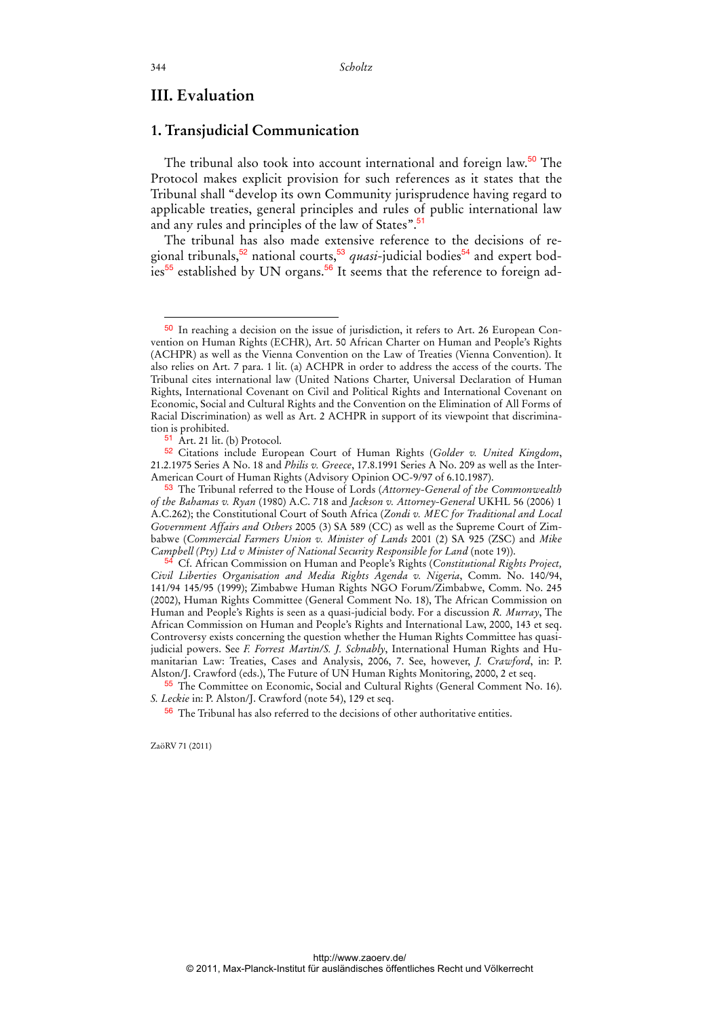## **III. Evaluation**

## **1. Transjudicial Communication**

The tribunal also took into account international and foreign law.<sup>50</sup> The Protocol makes explicit provision for such references as it states that the Tribunal shall "develop its own Community jurisprudence having regard to applicable treaties, general principles and rules of public international law and any rules and principles of the law of States".<sup>51</sup>

The tribunal has also made extensive reference to the decisions of regional tribunals,<sup>52</sup> national courts,<sup>53</sup> *quasi*-judicial bodies<sup>54</sup> and expert bodies<sup>55</sup> established by UN organs.<sup>56</sup> It seems that the reference to foreign ad-

ZaöRV 71 (2011)

 $\ddot{ }$ 

<sup>50</sup> In reaching a decision on the issue of jurisdiction, it refers to Art. 26 European Convention on Human Rights (ECHR), Art. 50 African Charter on Human and People's Rights (ACHPR) as well as the Vienna Convention on the Law of Treaties (Vienna Convention). It also relies on Art. 7 para. 1 lit. (a) ACHPR in order to address the access of the courts. The Tribunal cites international law (United Nations Charter, Universal Declaration of Human Rights, International Covenant on Civil and Political Rights and International Covenant on Economic, Social and Cultural Rights and the Convention on the Elimination of All Forms of Racial Discrimination) as well as Art. 2 ACHPR in support of its viewpoint that discrimination is prohibited.

<sup>51</sup> Art. 21 lit. (b) Protocol.

<sup>52</sup> Citations include European Court of Human Rights (*Golder v. United Kingdom*, 21.2.1975 Series A No. 18 and *Philis v. Greece*, 17.8.1991 Series A No. 209 as well as the Inter-American Court of Human Rights (Advisory Opinion OC-9/97 of 6.10.1987).

<sup>53</sup> The Tribunal referred to the House of Lords (*Attorney-General of the Commonwealth of the Bahamas v. Ryan* (1980) A.C. 718 and *Jackson v. Attorney-General* UKHL 56 (2006) 1 A.C.262); the Constitutional Court of South Africa (*Zondi v. MEC for Traditional and Local Government Affairs and Others* 2005 (3) SA 589 (CC) as well as the Supreme Court of Zimbabwe (*Commercial Farmers Union v. Minister of Lands* 2001 (2) SA 925 (ZSC) and *Mike Campbell (Pty) Ltd v Minister of National Security Responsible for Land* (note 19)).

<sup>54</sup> Cf. African Commission on Human and People's Rights (*Constitutional Rights Project, Civil Liberties Organisation and Media Rights Agenda v. Nigeria*, Comm. No. 140/94, 141/94 145/95 (1999); Zimbabwe Human Rights NGO Forum/Zimbabwe, Comm. No. 245 (2002), Human Rights Committee (General Comment No. 18), The African Commission on Human and People's Rights is seen as a quasi-judicial body. For a discussion *R. Murray*, The African Commission on Human and People's Rights and International Law, 2000, 143 et seq. Controversy exists concerning the question whether the Human Rights Committee has quasijudicial powers. See *F. Forrest Martin/S. J. Schnably*, International Human Rights and Humanitarian Law: Treaties, Cases and Analysis, 2006, 7. See, however, *J. Crawford*, in: P. Alston/J. Crawford (eds.), The Future of UN Human Rights Monitoring, 2000, 2 et seq.

<sup>55</sup> The Committee on Economic, Social and Cultural Rights (General Comment No. 16). *S. Leckie* in: P. Alston/J. Crawford (note 54), 129 et seq.

<sup>56</sup> The Tribunal has also referred to the decisions of other authoritative entities.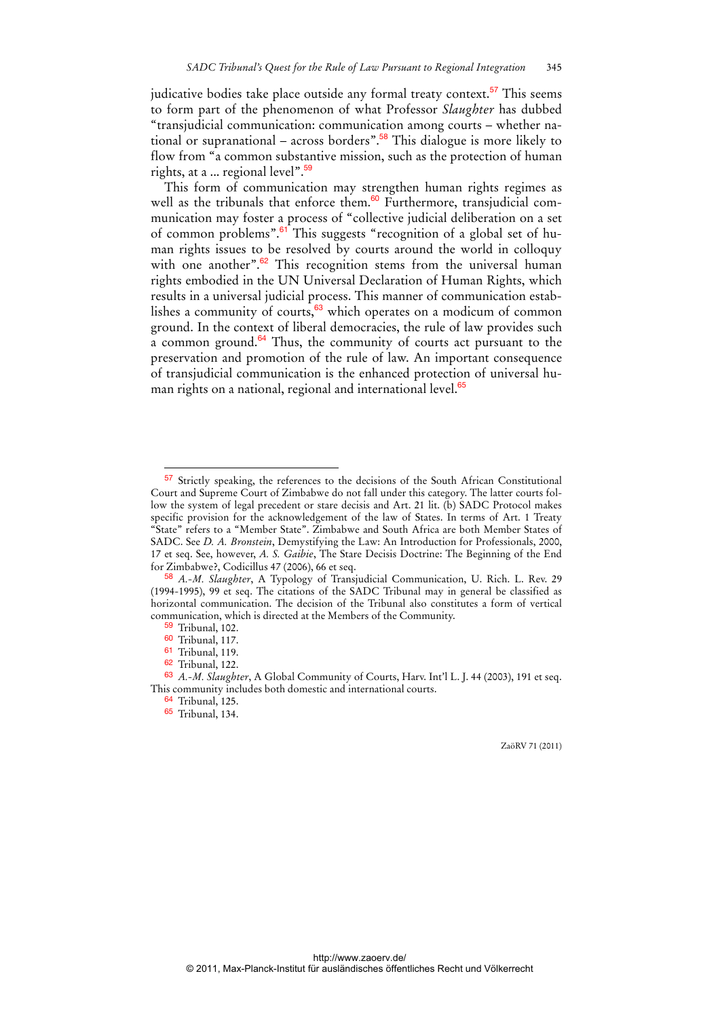judicative bodies take place outside any formal treaty context.<sup>57</sup> This seems to form part of the phenomenon of what Professor *Slaughter* has dubbed "transjudicial communication: communication among courts – whether national or supranational – across borders".<sup>58</sup> This dialogue is more likely to flow from "a common substantive mission, such as the protection of human rights, at a ... regional level".<sup>59</sup>

This form of communication may strengthen human rights regimes as well as the tribunals that enforce them.<sup>60</sup> Furthermore, transjudicial communication may foster a process of "collective judicial deliberation on a set of common problems".61 This suggests "recognition of a global set of human rights issues to be resolved by courts around the world in colloquy with one another".<sup>62</sup> This recognition stems from the universal human rights embodied in the UN Universal Declaration of Human Rights, which results in a universal judicial process. This manner of communication establishes a community of courts,<sup>63</sup> which operates on a modicum of common ground. In the context of liberal democracies, the rule of law provides such a common ground.<sup>64</sup> Thus, the community of courts act pursuant to the preservation and promotion of the rule of law. An important consequence of transjudicial communication is the enhanced protection of universal human rights on a national, regional and international level.<sup>65</sup>

 $\overline{a}$ 

<sup>57</sup> Strictly speaking, the references to the decisions of the South African Constitutional Court and Supreme Court of Zimbabwe do not fall under this category. The latter courts follow the system of legal precedent or stare decisis and Art. 21 lit. (b) SADC Protocol makes specific provision for the acknowledgement of the law of States. In terms of Art. 1 Treaty "State" refers to a "Member State". Zimbabwe and South Africa are both Member States of SADC. See *D. A. Bronstein*, Demystifying the Law: An Introduction for Professionals, 2000, 17 et seq. See, however, *A. S. Gaibie*, The Stare Decisis Doctrine: The Beginning of the End for Zimbabwe?, Codicillus 47 (2006), 66 et seq.

<sup>58</sup> *A.-M. Slaughter*, A Typology of Transjudicial Communication, U. Rich. L. Rev. 29 (1994-1995), 99 et seq. The citations of the SADC Tribunal may in general be classified as horizontal communication. The decision of the Tribunal also constitutes a form of vertical communication, which is directed at the Members of the Community.

<sup>59</sup> Tribunal, 102.

<sup>60</sup> Tribunal, 117.

<sup>61</sup> Tribunal, 119.

<sup>62</sup> Tribunal, 122.

<sup>63</sup> *A.-M. Slaughter*, A Global Community of Courts, Harv. Int'l L. J. 44 (2003), 191 et seq. This community includes both domestic and international courts.

<sup>64</sup> Tribunal, 125.

<sup>65</sup> Tribunal, 134.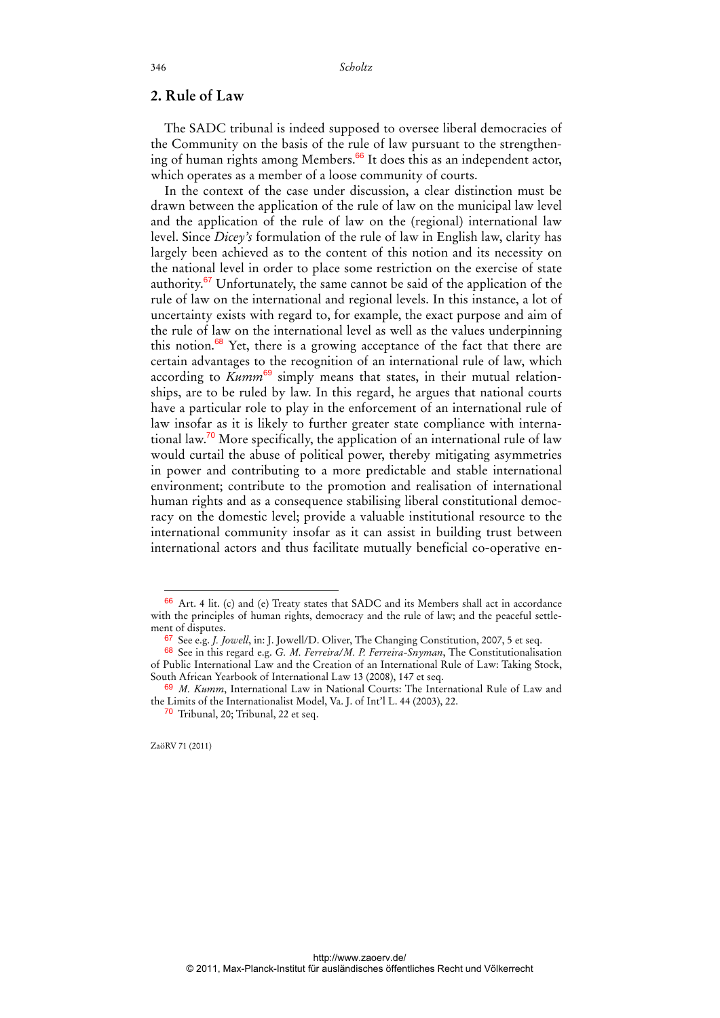## **2. Rule of Law**

The SADC tribunal is indeed supposed to oversee liberal democracies of the Community on the basis of the rule of law pursuant to the strengthening of human rights among Members.<sup>66</sup> It does this as an independent actor, which operates as a member of a loose community of courts.

In the context of the case under discussion, a clear distinction must be drawn between the application of the rule of law on the municipal law level and the application of the rule of law on the (regional) international law level. Since *Dicey's* formulation of the rule of law in English law, clarity has largely been achieved as to the content of this notion and its necessity on the national level in order to place some restriction on the exercise of state authority. $67$  Unfortunately, the same cannot be said of the application of the rule of law on the international and regional levels. In this instance, a lot of uncertainty exists with regard to, for example, the exact purpose and aim of the rule of law on the international level as well as the values underpinning this notion. $68$  Yet, there is a growing acceptance of the fact that there are certain advantages to the recognition of an international rule of law, which according to *Kumm*<sup>69</sup> simply means that states, in their mutual relationships, are to be ruled by law. In this regard, he argues that national courts have a particular role to play in the enforcement of an international rule of law insofar as it is likely to further greater state compliance with international law.<sup>70</sup> More specifically, the application of an international rule of law would curtail the abuse of political power, thereby mitigating asymmetries in power and contributing to a more predictable and stable international environment; contribute to the promotion and realisation of international human rights and as a consequence stabilising liberal constitutional democracy on the domestic level; provide a valuable institutional resource to the international community insofar as it can assist in building trust between international actors and thus facilitate mutually beneficial co-operative en-

ZaöRV 71 (2011)

<sup>66</sup> Art. 4 lit. (c) and (e) Treaty states that SADC and its Members shall act in accordance with the principles of human rights, democracy and the rule of law; and the peaceful settlement of disputes.

<sup>67</sup> See e.g. *J. Jowell*, in: J. Jowell/D. Oliver, The Changing Constitution, 2007, 5 et seq.

<sup>68</sup> See in this regard e.g. *G. M. Ferreira/M. P. Ferreira-Snyman*, The Constitutionalisation of Public International Law and the Creation of an International Rule of Law: Taking Stock, South African Yearbook of International Law 13 (2008), 147 et seq.

<sup>69</sup> *M. Kumm*, International Law in National Courts: The International Rule of Law and the Limits of the Internationalist Model, Va. J. of Int'l L. 44 (2003), 22.

<sup>&</sup>lt;sup>70</sup> Tribunal, 20: Tribunal, 22 et seg.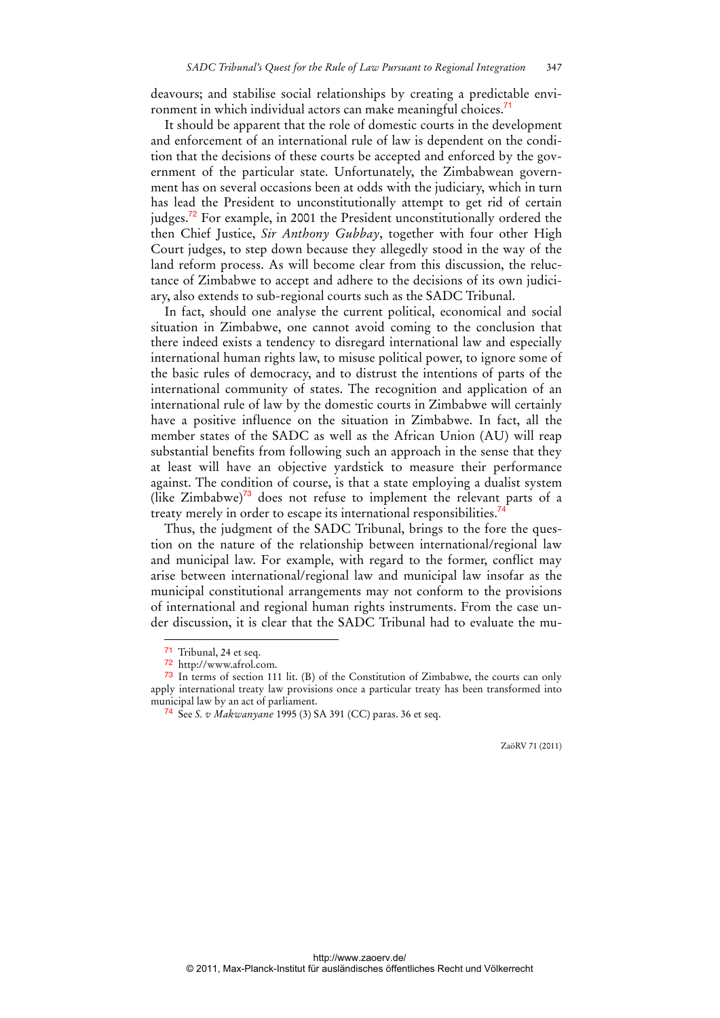deavours; and stabilise social relationships by creating a predictable environment in which individual actors can make meaningful choices.<sup>7</sup>

It should be apparent that the role of domestic courts in the development and enforcement of an international rule of law is dependent on the condition that the decisions of these courts be accepted and enforced by the government of the particular state. Unfortunately, the Zimbabwean government has on several occasions been at odds with the judiciary, which in turn has lead the President to unconstitutionally attempt to get rid of certain judges.<sup>72</sup> For example, in 2001 the President unconstitutionally ordered the then Chief Justice, *Sir Anthony Gubbay*, together with four other High Court judges, to step down because they allegedly stood in the way of the land reform process. As will become clear from this discussion, the reluctance of Zimbabwe to accept and adhere to the decisions of its own judiciary, also extends to sub-regional courts such as the SADC Tribunal.

In fact, should one analyse the current political, economical and social situation in Zimbabwe, one cannot avoid coming to the conclusion that there indeed exists a tendency to disregard international law and especially international human rights law, to misuse political power, to ignore some of the basic rules of democracy, and to distrust the intentions of parts of the international community of states. The recognition and application of an international rule of law by the domestic courts in Zimbabwe will certainly have a positive influence on the situation in Zimbabwe. In fact, all the member states of the SADC as well as the African Union (AU) will reap substantial benefits from following such an approach in the sense that they at least will have an objective yardstick to measure their performance against. The condition of course, is that a state employing a dualist system (like  $\text{Zimbabwe}$ )<sup>73</sup> does not refuse to implement the relevant parts of a treaty merely in order to escape its international responsibilities.<sup>7</sup>

Thus, the judgment of the SADC Tribunal, brings to the fore the question on the nature of the relationship between international/regional law and municipal law. For example, with regard to the former, conflict may arise between international/regional law and municipal law insofar as the municipal constitutional arrangements may not conform to the provisions of international and regional human rights instruments. From the case under discussion, it is clear that the SADC Tribunal had to evaluate the mu-

 $\overline{a}$ 

<sup>71</sup> Tribunal, 24 et seq.

<sup>72</sup> http://www.afrol.com.

<sup>73</sup> In terms of section 111 lit. (B) of the Constitution of Zimbabwe, the courts can only apply international treaty law provisions once a particular treaty has been transformed into municipal law by an act of parliament.

<sup>74</sup> See *S. v Makwanyane* 1995 (3) SA 391 (CC) paras. 36 et seq.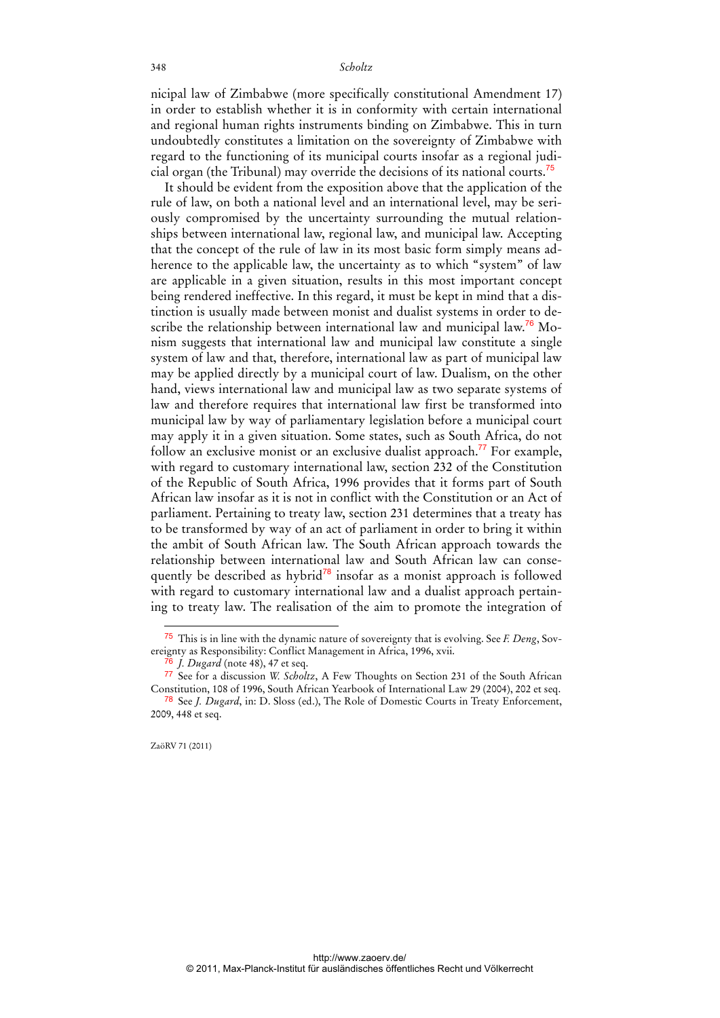nicipal law of Zimbabwe (more specifically constitutional Amendment 17) in order to establish whether it is in conformity with certain international and regional human rights instruments binding on Zimbabwe. This in turn undoubtedly constitutes a limitation on the sovereignty of Zimbabwe with regard to the functioning of its municipal courts insofar as a regional judicial organ (the Tribunal) may override the decisions of its national courts.<sup>75</sup>

It should be evident from the exposition above that the application of the rule of law, on both a national level and an international level, may be seriously compromised by the uncertainty surrounding the mutual relationships between international law, regional law, and municipal law. Accepting that the concept of the rule of law in its most basic form simply means adherence to the applicable law, the uncertainty as to which "system" of law are applicable in a given situation, results in this most important concept being rendered ineffective. In this regard, it must be kept in mind that a distinction is usually made between monist and dualist systems in order to describe the relationship between international law and municipal law.<sup>76</sup> Monism suggests that international law and municipal law constitute a single system of law and that, therefore, international law as part of municipal law may be applied directly by a municipal court of law. Dualism, on the other hand, views international law and municipal law as two separate systems of law and therefore requires that international law first be transformed into municipal law by way of parliamentary legislation before a municipal court may apply it in a given situation. Some states, such as South Africa, do not follow an exclusive monist or an exclusive dualist approach.<sup>77</sup> For example, with regard to customary international law, section 232 of the Constitution of the Republic of South Africa, 1996 provides that it forms part of South African law insofar as it is not in conflict with the Constitution or an Act of parliament. Pertaining to treaty law, section 231 determines that a treaty has to be transformed by way of an act of parliament in order to bring it within the ambit of South African law. The South African approach towards the relationship between international law and South African law can consequently be described as hybrid $78$  insofar as a monist approach is followed with regard to customary international law and a dualist approach pertaining to treaty law. The realisation of the aim to promote the integration of

<sup>75</sup> This is in line with the dynamic nature of sovereignty that is evolving. See *F. Deng*, Sovereignty as Responsibility: Conflict Management in Africa, 1996, xvii.

*J. Dugard* (note 48), 47 et seq.

<sup>77</sup> See for a discussion *W. Scholtz*, A Few Thoughts on Section 231 of the South African Constitution, 108 of 1996, South African Yearbook of International Law 29 (2004), 202 et seq. 78 See *J. Dugard*, in: D. Sloss (ed.), The Role of Domestic Courts in Treaty Enforcement, 2009, 448 et seq.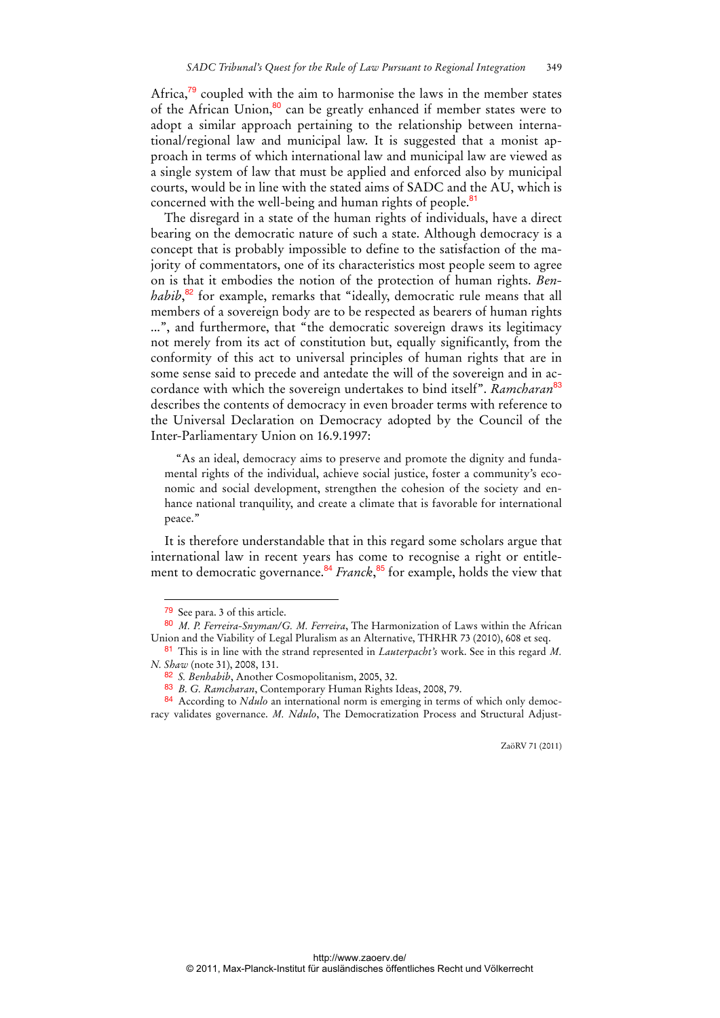Africa,<sup>79</sup> coupled with the aim to harmonise the laws in the member states of the African Union, $80$  can be greatly enhanced if member states were to adopt a similar approach pertaining to the relationship between international/regional law and municipal law. It is suggested that a monist approach in terms of which international law and municipal law are viewed as a single system of law that must be applied and enforced also by municipal courts, would be in line with the stated aims of SADC and the AU, which is concerned with the well-being and human rights of people. $81$ 

The disregard in a state of the human rights of individuals, have a direct bearing on the democratic nature of such a state. Although democracy is a concept that is probably impossible to define to the satisfaction of the majority of commentators, one of its characteristics most people seem to agree on is that it embodies the notion of the protection of human rights. *Benhabib*, <sup>82</sup> for example, remarks that "ideally, democratic rule means that all members of a sovereign body are to be respected as bearers of human rights ...", and furthermore, that "the democratic sovereign draws its legitimacy not merely from its act of constitution but, equally significantly, from the conformity of this act to universal principles of human rights that are in some sense said to precede and antedate the will of the sovereign and in accordance with which the sovereign undertakes to bind itself". *Ramcharan*<sup>83</sup> describes the contents of democracy in even broader terms with reference to the Universal Declaration on Democracy adopted by the Council of the Inter-Parliamentary Union on 16.9.1997:

"As an ideal, democracy aims to preserve and promote the dignity and fundamental rights of the individual, achieve social justice, foster a community's economic and social development, strengthen the cohesion of the society and enhance national tranquility, and create a climate that is favorable for international peace."

It is therefore understandable that in this regard some scholars argue that international law in recent years has come to recognise a right or entitlement to democratic governance.<sup>84</sup> *Franck*,<sup>85</sup> for example, holds the view that

 $\overline{a}$ 

<sup>79</sup> See para. 3 of this article.

<sup>80</sup> *M. P. Ferreira-Snyman/G. M. Ferreira*, The Harmonization of Laws within the African Union and the Viability of Legal Pluralism as an Alternative, THRHR 73 (2010), 608 et seq.

<sup>81</sup> This is in line with the strand represented in *Lauterpacht's* work. See in this regard *M. N. Shaw* (note 31), 2008, 131.

<sup>82</sup> *S. Benhabib*, Another Cosmopolitanism, 2005, 32.

<sup>83</sup> *B. G. Ramcharan*, Contemporary Human Rights Ideas, 2008, 79.

<sup>84</sup> According to *Ndulo* an international norm is emerging in terms of which only democracy validates governance. *M. Ndulo*, The Democratization Process and Structural Adjust-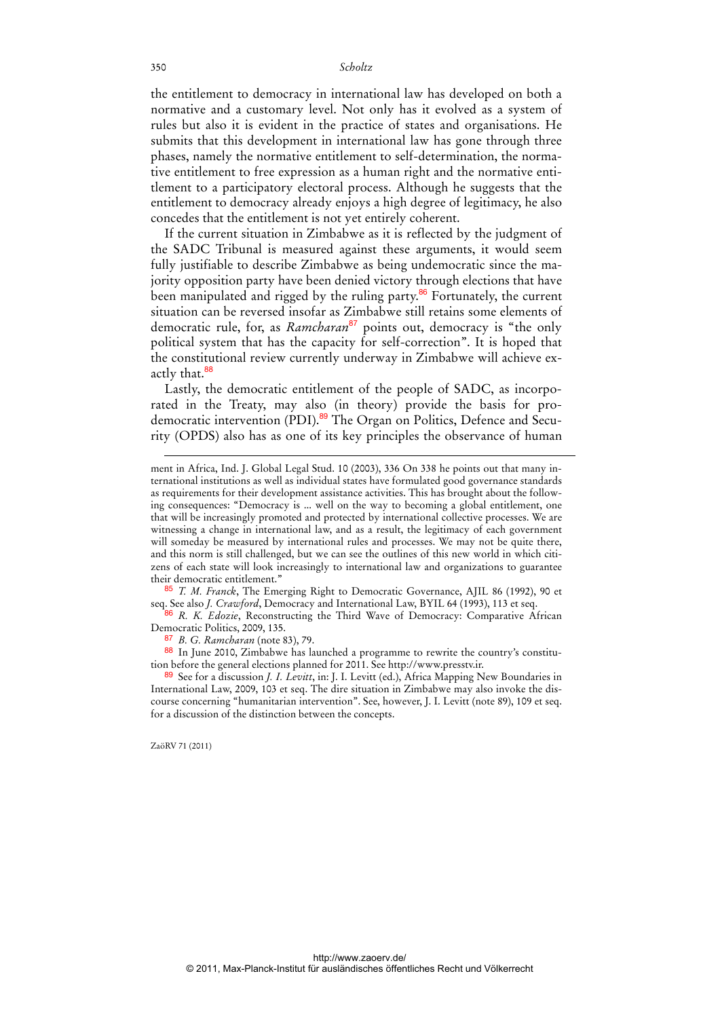the entitlement to democracy in international law has developed on both a normative and a customary level. Not only has it evolved as a system of rules but also it is evident in the practice of states and organisations. He submits that this development in international law has gone through three phases, namely the normative entitlement to self-determination, the normative entitlement to free expression as a human right and the normative entitlement to a participatory electoral process. Although he suggests that the entitlement to democracy already enjoys a high degree of legitimacy, he also concedes that the entitlement is not yet entirely coherent.

If the current situation in Zimbabwe as it is reflected by the judgment of the SADC Tribunal is measured against these arguments, it would seem fully justifiable to describe Zimbabwe as being undemocratic since the majority opposition party have been denied victory through elections that have been manipulated and rigged by the ruling party. $86$  Fortunately, the current situation can be reversed insofar as Zimbabwe still retains some elements of democratic rule, for, as *Ramcharan*<sup>87</sup> points out, democracy is "the only political system that has the capacity for self-correction". It is hoped that the constitutional review currently underway in Zimbabwe will achieve exactly that.<sup>88</sup>

Lastly, the democratic entitlement of the people of SADC, as incorporated in the Treaty, may also (in theory) provide the basis for prodemocratic intervention (PDI).89 The Organ on Politics, Defence and Security (OPDS) also has as one of its key principles the observance of human

85 *T. M. Franck*, The Emerging Right to Democratic Governance, AJIL 86 (1992), 90 et seq. See also *J. Crawford*, Democracy and International Law, BYIL 64 (1993), 113 et seq.

86 *R. K. Edozie*, Reconstructing the Third Wave of Democracy: Comparative African Democratic Politics, 2009, 135.

87 *B. G. Ramcharan* (note 83), 79.

88 In June 2010, Zimbabwe has launched a programme to rewrite the country's constitution before the general elections planned for 2011. See http://www.presstv.ir.

89 See for a discussion *J. I. Levitt*, in: J. I. Levitt (ed.), Africa Mapping New Boundaries in International Law, 2009, 103 et seq. The dire situation in Zimbabwe may also invoke the discourse concerning "humanitarian intervention". See, however, J. I. Levitt (note 89), 109 et seq. for a discussion of the distinction between the concepts.

ZaöRV 71 (2011)

-

ment in Africa, Ind. J. Global Legal Stud. 10 (2003), 336 On 338 he points out that many international institutions as well as individual states have formulated good governance standards as requirements for their development assistance activities. This has brought about the following consequences: "Democracy is ... well on the way to becoming a global entitlement, one that will be increasingly promoted and protected by international collective processes. We are witnessing a change in international law, and as a result, the legitimacy of each government will someday be measured by international rules and processes. We may not be quite there, and this norm is still challenged, but we can see the outlines of this new world in which citizens of each state will look increasingly to international law and organizations to guarantee their democratic entitlement."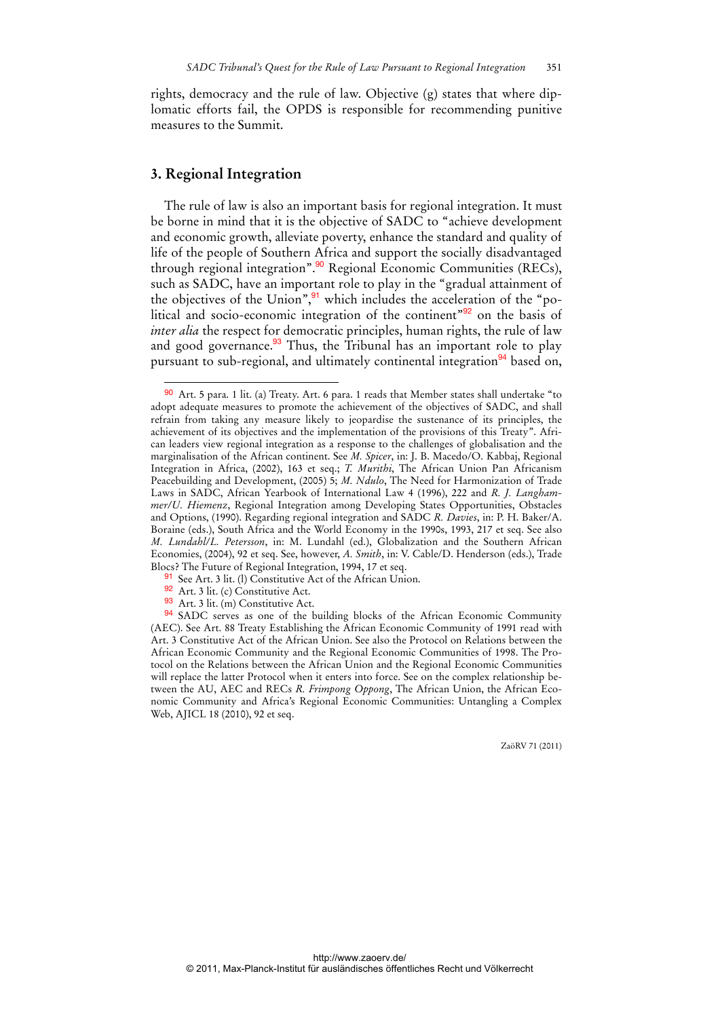rights, democracy and the rule of law. Objective (g) states that where diplomatic efforts fail, the OPDS is responsible for recommending punitive measures to the Summit.

## **3. Regional Integration**

 $\overline{a}$ 

The rule of law is also an important basis for regional integration. It must be borne in mind that it is the objective of SADC to "achieve development and economic growth, alleviate poverty, enhance the standard and quality of life of the people of Southern Africa and support the socially disadvantaged through regional integration".<sup>90</sup> Regional Economic Communities (RECs), such as SADC, have an important role to play in the "gradual attainment of the objectives of the Union",<sup>91</sup> which includes the acceleration of the "political and socio-economic integration of the continent<sup>"92</sup> on the basis of *inter alia* the respect for democratic principles, human rights, the rule of law and good governance.<sup>93</sup> Thus, the Tribunal has an important role to play pursuant to sub-regional, and ultimately continental integration<sup>94</sup> based on,

- 92 Art. 3 lit. (c) Constitutive Act.
- 93 Art. 3 lit. (m) Constitutive Act.

<sup>90</sup> Art. 5 para. 1 lit. (a) Treaty. Art. 6 para. 1 reads that Member states shall undertake "to adopt adequate measures to promote the achievement of the objectives of SADC, and shall refrain from taking any measure likely to jeopardise the sustenance of its principles, the achievement of its objectives and the implementation of the provisions of this Treaty". African leaders view regional integration as a response to the challenges of globalisation and the marginalisation of the African continent. See *M. Spicer*, in: J. B. Macedo/O. Kabbaj, Regional Integration in Africa, (2002), 163 et seq.; *T. Murithi*, The African Union Pan Africanism Peacebuilding and Development, (2005) 5; *M. Ndulo*, The Need for Harmonization of Trade Laws in SADC, African Yearbook of International Law 4 (1996), 222 and *R. J. Langhammer/U. Hiemenz*, Regional Integration among Developing States Opportunities, Obstacles and Options, (1990). Regarding regional integration and SADC *R. Davies*, in: P. H. Baker/A. Boraine (eds.), South Africa and the World Economy in the 1990s, 1993, 217 et seq. See also *M. Lundahl/L. Petersson*, in: M. Lundahl (ed.), Globalization and the Southern African Economies, (2004), 92 et seq. See, however, *A. Smith*, in: V. Cable/D. Henderson (eds.), Trade Blocs? The Future of Regional Integration, 1994, 17 et seq.

<sup>91</sup> See Art. 3 lit. (l) Constitutive Act of the African Union.

<sup>94</sup> SADC serves as one of the building blocks of the African Economic Community (AEC). See Art. 88 Treaty Establishing the African Economic Community of 1991 read with Art. 3 Constitutive Act of the African Union. See also the Protocol on Relations between the African Economic Community and the Regional Economic Communities of 1998. The Protocol on the Relations between the African Union and the Regional Economic Communities will replace the latter Protocol when it enters into force. See on the complex relationship between the AU, AEC and RECs *R. Frimpong Oppong*, The African Union, the African Economic Community and Africa's Regional Economic Communities: Untangling a Complex Web, AJICL 18 (2010), 92 et seq.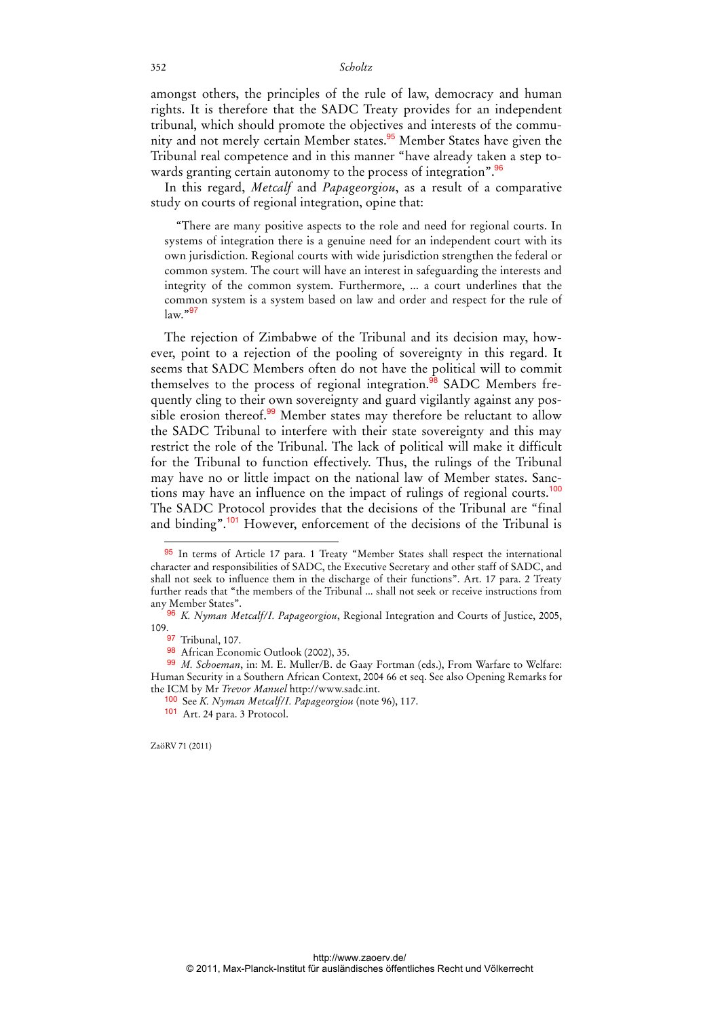amongst others, the principles of the rule of law, democracy and human rights. It is therefore that the SADC Treaty provides for an independent tribunal, which should promote the objectives and interests of the community and not merely certain Member states.<sup>95</sup> Member States have given the Tribunal real competence and in this manner "have already taken a step towards granting certain autonomy to the process of integration".<sup>96</sup>

In this regard, *Metcalf* and *Papageorgiou*, as a result of a comparative study on courts of regional integration, opine that:

"There are many positive aspects to the role and need for regional courts. In systems of integration there is a genuine need for an independent court with its own jurisdiction. Regional courts with wide jurisdiction strengthen the federal or common system. The court will have an interest in safeguarding the interests and integrity of the common system. Furthermore, ... a court underlines that the common system is a system based on law and order and respect for the rule of  $\mathrm{law}$ ."97

The rejection of Zimbabwe of the Tribunal and its decision may, however, point to a rejection of the pooling of sovereignty in this regard. It seems that SADC Members often do not have the political will to commit themselves to the process of regional integration.<sup>98</sup> SADC Members frequently cling to their own sovereignty and guard vigilantly against any possible erosion thereof.<sup>99</sup> Member states may therefore be reluctant to allow the SADC Tribunal to interfere with their state sovereignty and this may restrict the role of the Tribunal. The lack of political will make it difficult for the Tribunal to function effectively. Thus, the rulings of the Tribunal may have no or little impact on the national law of Member states. Sanctions may have an influence on the impact of rulings of regional courts.<sup>100</sup> The SADC Protocol provides that the decisions of the Tribunal are "final and binding".<sup>101</sup> However, enforcement of the decisions of the Tribunal is

ZaöRV 71 (2011)

<sup>95</sup> In terms of Article 17 para. 1 Treaty "Member States shall respect the international character and responsibilities of SADC, the Executive Secretary and other staff of SADC, and shall not seek to influence them in the discharge of their functions". Art. 17 para. 2 Treaty further reads that "the members of the Tribunal ... shall not seek or receive instructions from any Member States".

<sup>96</sup> *K. Nyman Metcalf/I. Papageorgiou*, Regional Integration and Courts of Justice, 2005, 109.

<sup>97</sup> Tribunal, 107.

<sup>98</sup> African Economic Outlook (2002), 35.

<sup>99</sup> *M. Schoeman*, in: M. E. Muller/B. de Gaay Fortman (eds.), From Warfare to Welfare: Human Security in a Southern African Context, 2004 66 et seq. See also Opening Remarks for the ICM by Mr *Trevor Manuel* http://www.sadc.int.

<sup>100</sup> See *K. Nyman Metcalf/I. Papageorgiou* (note 96), 117.

<sup>101</sup> Art. 24 para. 3 Protocol.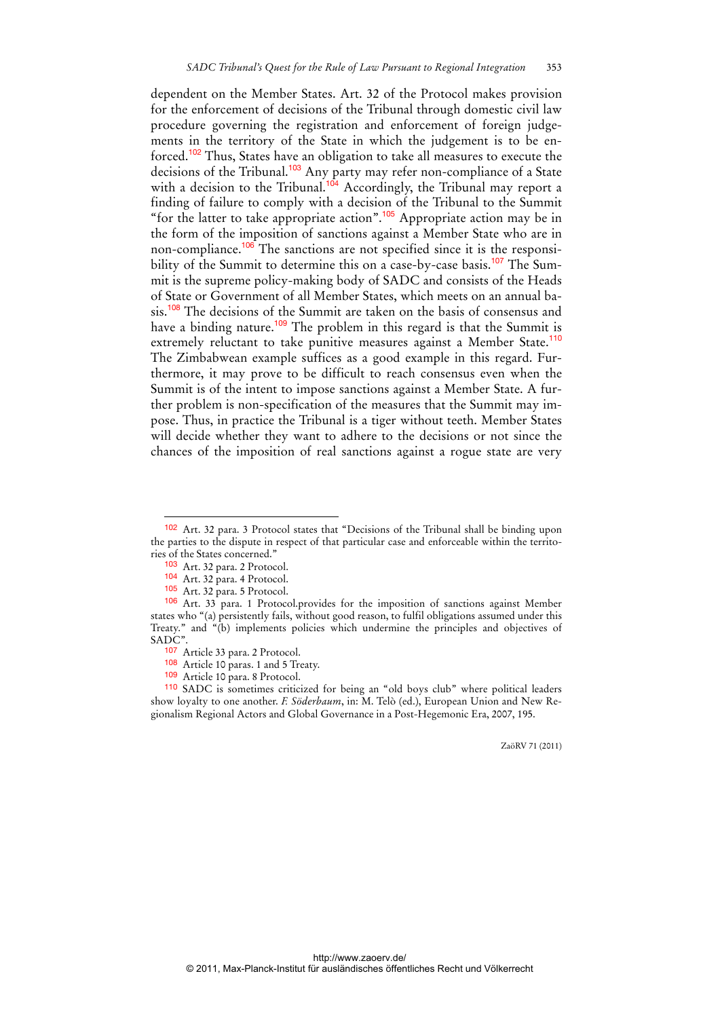dependent on the Member States. Art. 32 of the Protocol makes provision for the enforcement of decisions of the Tribunal through domestic civil law procedure governing the registration and enforcement of foreign judgements in the territory of the State in which the judgement is to be enforced.<sup>102</sup> Thus, States have an obligation to take all measures to execute the decisions of the Tribunal.<sup>103</sup> Any party may refer non-compliance of a State with a decision to the Tribunal.<sup>104</sup> Accordingly, the Tribunal may report a finding of failure to comply with a decision of the Tribunal to the Summit "for the latter to take appropriate action".<sup>105</sup> Appropriate action may be in the form of the imposition of sanctions against a Member State who are in non-compliance.<sup>106</sup> The sanctions are not specified since it is the responsibility of the Summit to determine this on a case-by-case basis.<sup>107</sup> The Summit is the supreme policy-making body of SADC and consists of the Heads of State or Government of all Member States, which meets on an annual basis.<sup>108</sup> The decisions of the Summit are taken on the basis of consensus and have a binding nature.<sup>109</sup> The problem in this regard is that the Summit is extremely reluctant to take punitive measures against a Member State.<sup>110</sup> The Zimbabwean example suffices as a good example in this regard. Furthermore, it may prove to be difficult to reach consensus even when the Summit is of the intent to impose sanctions against a Member State. A further problem is non-specification of the measures that the Summit may impose. Thus, in practice the Tribunal is a tiger without teeth. Member States will decide whether they want to adhere to the decisions or not since the chances of the imposition of real sanctions against a rogue state are very

<sup>102</sup> Art. 32 para. 3 Protocol states that "Decisions of the Tribunal shall be binding upon the parties to the dispute in respect of that particular case and enforceable within the territories of the States concerned."

<sup>103</sup> Art. 32 para. 2 Protocol.

<sup>104</sup> Art. 32 para. 4 Protocol.

<sup>105</sup> Art. 32 para. 5 Protocol.

<sup>106</sup> Art. 33 para. 1 Protocol.provides for the imposition of sanctions against Member states who "(a) persistently fails, without good reason, to fulfil obligations assumed under this Treaty." and "(b) implements policies which undermine the principles and objectives of SADC".

<sup>107</sup> Article 33 para. 2 Protocol.

<sup>108</sup> Article 10 paras. 1 and 5 Treaty.

<sup>109</sup> Article 10 para. 8 Protocol.

<sup>110</sup> SADC is sometimes criticized for being an "old boys club" where political leaders show loyalty to one another. *F. Söderbaum*, in: M. Telò (ed.), European Union and New Regionalism Regional Actors and Global Governance in a Post-Hegemonic Era, 2007, 195.

ZaöRV 71 (2011)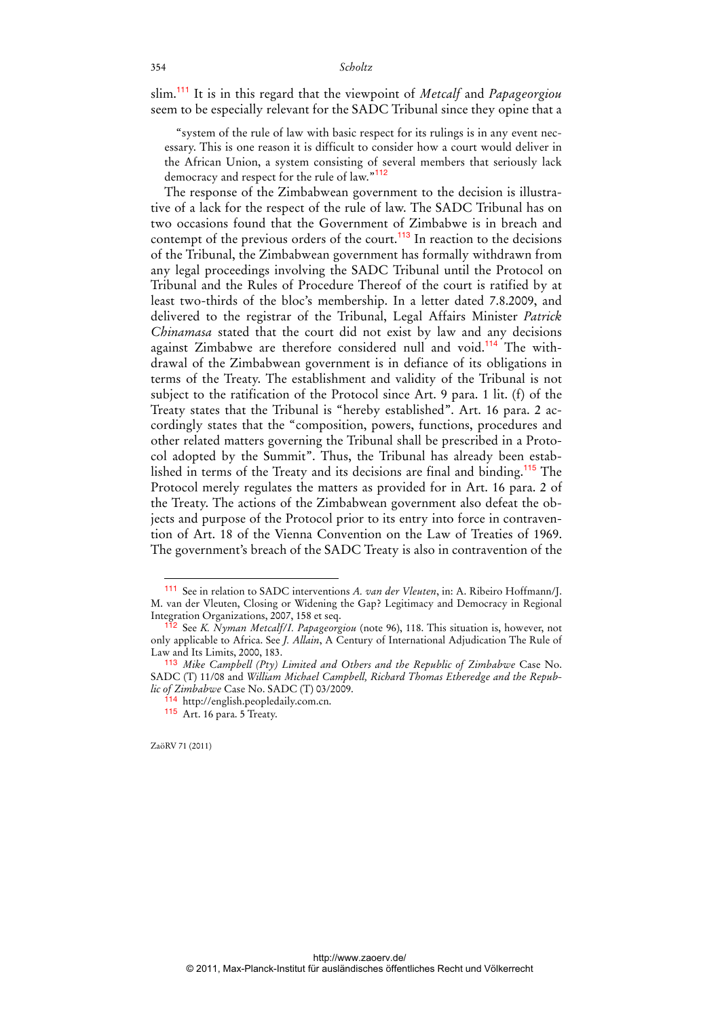slim.<sup>111</sup> It is in this regard that the viewpoint of *Metcalf* and *Papageorgiou* seem to be especially relevant for the SADC Tribunal since they opine that a

"system of the rule of law with basic respect for its rulings is in any event necessary. This is one reason it is difficult to consider how a court would deliver in the African Union, a system consisting of several members that seriously lack democracy and respect for the rule of law."<sup>112</sup>

The response of the Zimbabwean government to the decision is illustrative of a lack for the respect of the rule of law. The SADC Tribunal has on two occasions found that the Government of Zimbabwe is in breach and contempt of the previous orders of the court.<sup>113</sup> In reaction to the decisions of the Tribunal, the Zimbabwean government has formally withdrawn from any legal proceedings involving the SADC Tribunal until the Protocol on Tribunal and the Rules of Procedure Thereof of the court is ratified by at least two-thirds of the bloc's membership. In a letter dated 7.8.2009, and delivered to the registrar of the Tribunal, Legal Affairs Minister *Patrick Chinamasa* stated that the court did not exist by law and any decisions against Zimbabwe are therefore considered null and void.<sup>114</sup> The withdrawal of the Zimbabwean government is in defiance of its obligations in terms of the Treaty. The establishment and validity of the Tribunal is not subject to the ratification of the Protocol since Art. 9 para. 1 lit. (f) of the Treaty states that the Tribunal is "hereby established". Art. 16 para. 2 accordingly states that the "composition, powers, functions, procedures and other related matters governing the Tribunal shall be prescribed in a Protocol adopted by the Summit". Thus, the Tribunal has already been established in terms of the Treaty and its decisions are final and binding.<sup>115</sup> The Protocol merely regulates the matters as provided for in Art. 16 para. 2 of the Treaty. The actions of the Zimbabwean government also defeat the objects and purpose of the Protocol prior to its entry into force in contravention of Art. 18 of the Vienna Convention on the Law of Treaties of 1969. The government's breach of the SADC Treaty is also in contravention of the

ZaöRV 71 (2011)

<sup>111</sup> See in relation to SADC interventions *A. van der Vleuten*, in: A. Ribeiro Hoffmann/J. M. van der Vleuten, Closing or Widening the Gap? Legitimacy and Democracy in Regional Integration Organizations, 2007, 158 et seq.

<sup>112</sup> See *K. Nyman Metcalf/I. Papageorgiou* (note 96), 118. This situation is, however, not only applicable to Africa. See *J. Allain*, A Century of International Adjudication The Rule of Law and Its Limits, 2000, 183.

<sup>113</sup> *Mike Campbell (Pty) Limited and Others and the Republic of Zimbabwe* Case No. SADC (T) 11/08 and *William Michael Campbell, Richard Thomas Etheredge and the Republic of Zimbabwe* Case No. SADC (T) 03/2009.

<sup>114</sup> http://english.peopledaily.com.cn.

<sup>115</sup> Art. 16 para. 5 Treaty.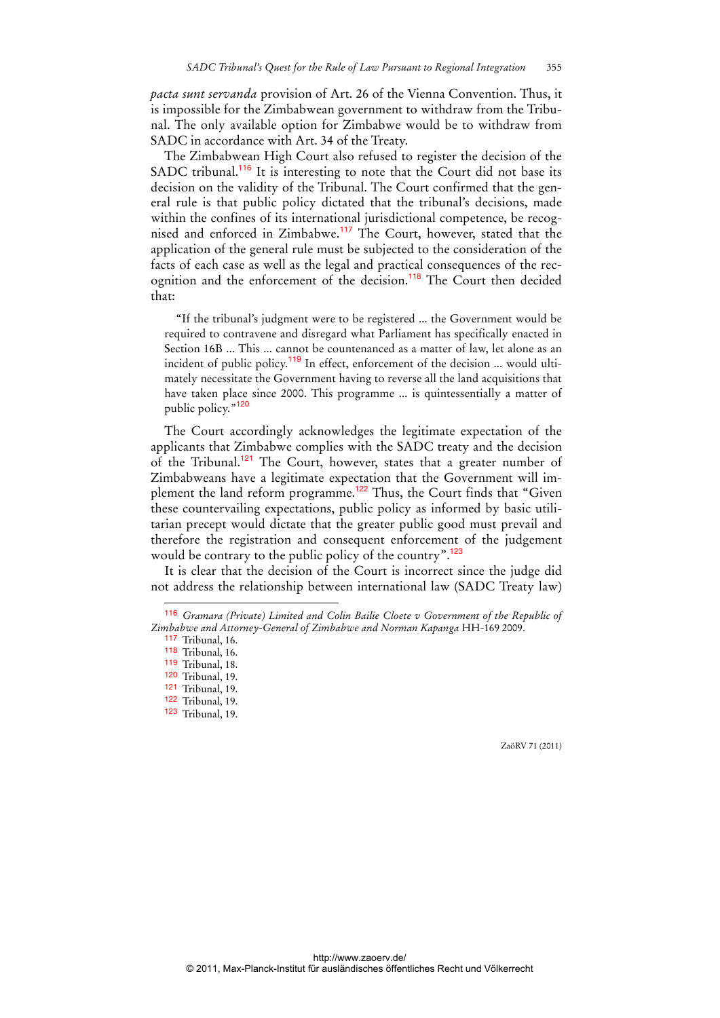*pacta sunt servanda* provision of Art. 26 of the Vienna Convention. Thus, it is impossible for the Zimbabwean government to withdraw from the Tribunal. The only available option for Zimbabwe would be to withdraw from SADC in accordance with Art. 34 of the Treaty.

The Zimbabwean High Court also refused to register the decision of the SADC tribunal.<sup>116</sup> It is interesting to note that the Court did not base its decision on the validity of the Tribunal. The Court confirmed that the general rule is that public policy dictated that the tribunal's decisions, made within the confines of its international jurisdictional competence, be recognised and enforced in Zimbabwe.<sup>117</sup> The Court, however, stated that the application of the general rule must be subjected to the consideration of the facts of each case as well as the legal and practical consequences of the recognition and the enforcement of the decision.<sup>118</sup> The Court then decided that:

"If the tribunal's judgment were to be registered ... the Government would be required to contravene and disregard what Parliament has specifically enacted in Section 16B ... This ... cannot be countenanced as a matter of law, let alone as an incident of public policy.<sup>119</sup> In effect, enforcement of the decision ... would ultimately necessitate the Government having to reverse all the land acquisitions that have taken place since 2000. This programme ... is quintessentially a matter of public policy."<sup>120</sup>

The Court accordingly acknowledges the legitimate expectation of the applicants that Zimbabwe complies with the SADC treaty and the decision of the Tribunal.<sup>121</sup> The Court, however, states that a greater number of Zimbabweans have a legitimate expectation that the Government will implement the land reform programme.<sup>122</sup> Thus, the Court finds that "Given these countervailing expectations, public policy as informed by basic utilitarian precept would dictate that the greater public good must prevail and therefore the registration and consequent enforcement of the judgement would be contrary to the public policy of the country".<sup>123</sup>

It is clear that the decision of the Court is incorrect since the judge did not address the relationship between international law (SADC Treaty law)

 $\overline{a}$ 

<sup>116</sup> *Gramara (Private) Limited and Colin Bailie Cloete v Government of the Republic of Zimbabwe and Attorney-General of Zimbabwe and Norman Kapanga* HH-169 2009.

<sup>117</sup> Tribunal, 16.

<sup>118</sup> Tribunal, 16.

<sup>119</sup> Tribunal, 18.

<sup>120</sup> Tribunal, 19.

<sup>121</sup> Tribunal, 19. 122 Tribunal, 19.

<sup>123</sup> Tribunal, 19.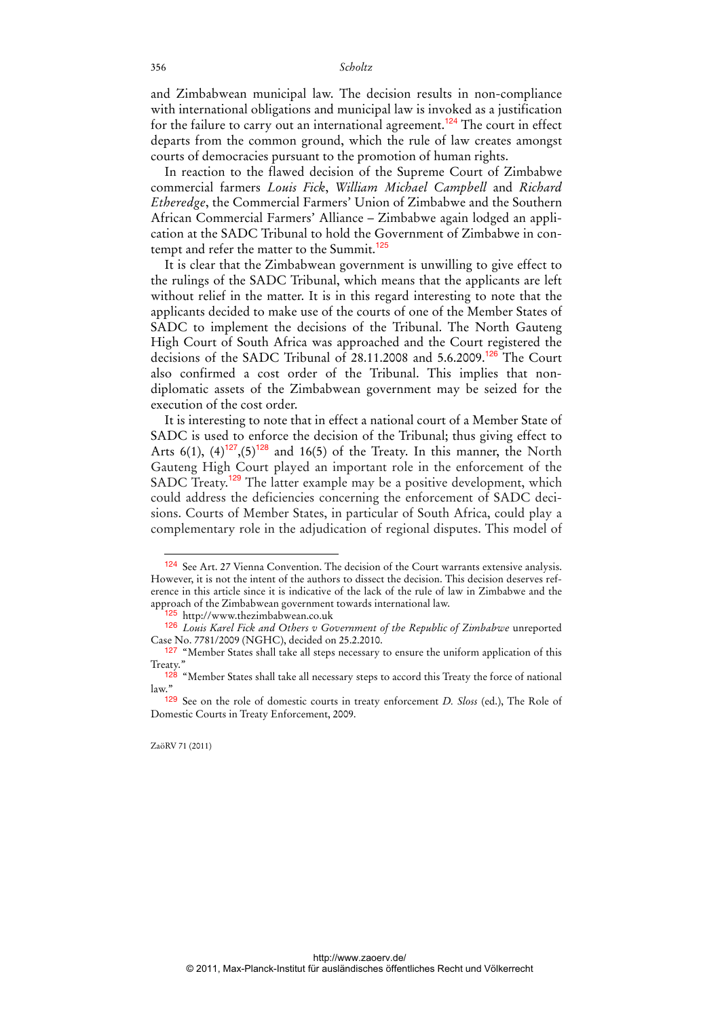and Zimbabwean municipal law. The decision results in non-compliance with international obligations and municipal law is invoked as a justification for the failure to carry out an international agreement.<sup>124</sup> The court in effect departs from the common ground, which the rule of law creates amongst courts of democracies pursuant to the promotion of human rights.

In reaction to the flawed decision of the Supreme Court of Zimbabwe commercial farmers *Louis Fick*, *William Michael Campbell* and *Richard Etheredge*, the Commercial Farmers' Union of Zimbabwe and the Southern African Commercial Farmers' Alliance – Zimbabwe again lodged an application at the SADC Tribunal to hold the Government of Zimbabwe in contempt and refer the matter to the Summit.<sup>125</sup>

It is clear that the Zimbabwean government is unwilling to give effect to the rulings of the SADC Tribunal, which means that the applicants are left without relief in the matter. It is in this regard interesting to note that the applicants decided to make use of the courts of one of the Member States of SADC to implement the decisions of the Tribunal. The North Gauteng High Court of South Africa was approached and the Court registered the decisions of the SADC Tribunal of 28.11.2008 and 5.6.2009.<sup>126</sup> The Court also confirmed a cost order of the Tribunal. This implies that nondiplomatic assets of the Zimbabwean government may be seized for the execution of the cost order.

It is interesting to note that in effect a national court of a Member State of SADC is used to enforce the decision of the Tribunal; thus giving effect to Arts 6(1),  $(4)^{127}$ ,  $(5)^{128}$  and 16(5) of the Treaty. In this manner, the North Gauteng High Court played an important role in the enforcement of the SADC Treaty.<sup>129</sup> The latter example may be a positive development, which could address the deficiencies concerning the enforcement of SADC decisions. Courts of Member States, in particular of South Africa, could play a complementary role in the adjudication of regional disputes. This model of

<sup>124</sup> See Art. 27 Vienna Convention. The decision of the Court warrants extensive analysis. However, it is not the intent of the authors to dissect the decision. This decision deserves reference in this article since it is indicative of the lack of the rule of law in Zimbabwe and the approach of the Zimbabwean government towards international law.

<sup>125</sup> http://www.thezimbabwean.co.uk

<sup>126</sup> *Louis Karel Fick and Others v Government of the Republic of Zimbabwe* unreported Case No. 7781/2009 (NGHC), decided on 25.2.2010.

<sup>&</sup>lt;sup>127</sup> "Member States shall take all steps necessary to ensure the uniform application of this Treaty.'

<sup>&</sup>lt;sup>128</sup> "Member States shall take all necessary steps to accord this Treaty the force of national law."

<sup>129</sup> See on the role of domestic courts in treaty enforcement *D. Sloss* (ed.), The Role of Domestic Courts in Treaty Enforcement, 2009.

ZaöRV 71 (2011)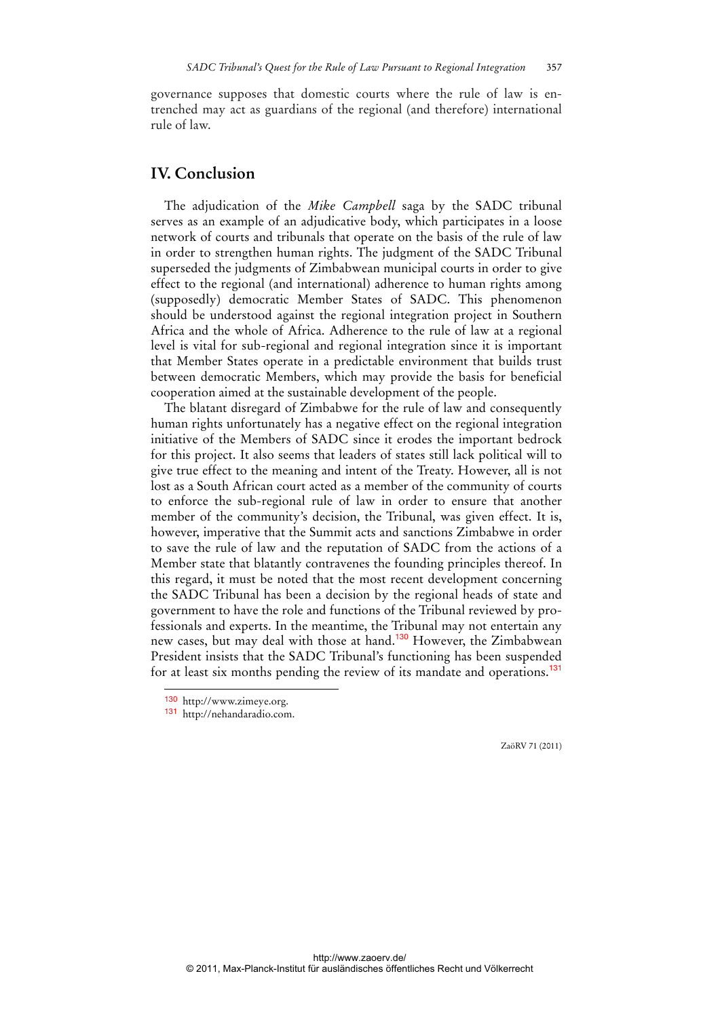governance supposes that domestic courts where the rule of law is entrenched may act as guardians of the regional (and therefore) international rule of law.

## **IV. Conclusion**

The adjudication of the *Mike Campbell* saga by the SADC tribunal serves as an example of an adjudicative body, which participates in a loose network of courts and tribunals that operate on the basis of the rule of law in order to strengthen human rights. The judgment of the SADC Tribunal superseded the judgments of Zimbabwean municipal courts in order to give effect to the regional (and international) adherence to human rights among (supposedly) democratic Member States of SADC. This phenomenon should be understood against the regional integration project in Southern Africa and the whole of Africa. Adherence to the rule of law at a regional level is vital for sub-regional and regional integration since it is important that Member States operate in a predictable environment that builds trust between democratic Members, which may provide the basis for beneficial cooperation aimed at the sustainable development of the people.

The blatant disregard of Zimbabwe for the rule of law and consequently human rights unfortunately has a negative effect on the regional integration initiative of the Members of SADC since it erodes the important bedrock for this project. It also seems that leaders of states still lack political will to give true effect to the meaning and intent of the Treaty. However, all is not lost as a South African court acted as a member of the community of courts to enforce the sub-regional rule of law in order to ensure that another member of the community's decision, the Tribunal, was given effect. It is, however, imperative that the Summit acts and sanctions Zimbabwe in order to save the rule of law and the reputation of SADC from the actions of a Member state that blatantly contravenes the founding principles thereof. In this regard, it must be noted that the most recent development concerning the SADC Tribunal has been a decision by the regional heads of state and government to have the role and functions of the Tribunal reviewed by professionals and experts. In the meantime, the Tribunal may not entertain any new cases, but may deal with those at hand.<sup>130</sup> However, the Zimbabwean President insists that the SADC Tribunal's functioning has been suspended for at least six months pending the review of its mandate and operations.<sup>131</sup>

 $\overline{a}$ 

<sup>130</sup> http://www.zimeye.org.

<sup>131</sup> http://nehandaradio.com.